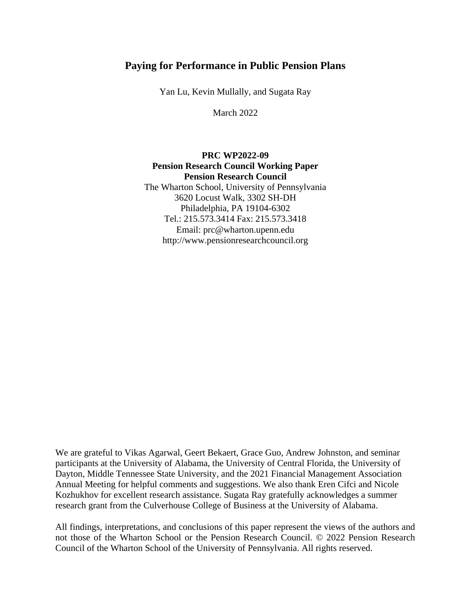# **Paying for Performance in Public Pension Plans**

Yan Lu, Kevin Mullally, and Sugata Ray

March 2022

# **PRC WP2022-09 Pension Research Council Working Paper Pension Research Council** The Wharton School, University of Pennsylvania 3620 Locust Walk, 3302 SH-DH Philadelphia, PA 19104-6302 Tel.: 215.573.3414 Fax: 215.573.3418 Email: prc@wharton.upenn.edu http://www.pensionresearchcouncil.org

We are grateful to Vikas Agarwal, Geert Bekaert, Grace Guo, Andrew Johnston, and seminar participants at the University of Alabama, the University of Central Florida, the University of Dayton, Middle Tennessee State University, and the 2021 Financial Management Association Annual Meeting for helpful comments and suggestions. We also thank Eren Cifci and Nicole Kozhukhov for excellent research assistance. Sugata Ray gratefully acknowledges a summer research grant from the Culverhouse College of Business at the University of Alabama.

All findings, interpretations, and conclusions of this paper represent the views of the authors and not those of the Wharton School or the Pension Research Council. © 2022 Pension Research Council of the Wharton School of the University of Pennsylvania. All rights reserved.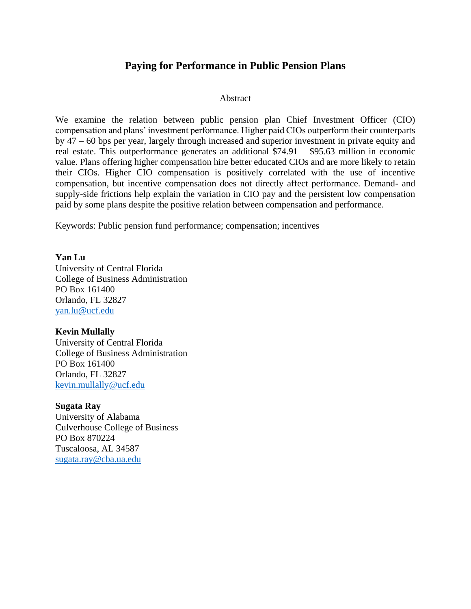# **Paying for Performance in Public Pension Plans**

### Abstract

We examine the relation between public pension plan Chief Investment Officer (CIO) compensation and plans' investment performance. Higher paid CIOs outperform their counterparts by 47 – 60 bps per year, largely through increased and superior investment in private equity and real estate. This outperformance generates an additional \$74.91 – \$95.63 million in economic value. Plans offering higher compensation hire better educated CIOs and are more likely to retain their CIOs. Higher CIO compensation is positively correlated with the use of incentive compensation, but incentive compensation does not directly affect performance. Demand- and supply-side frictions help explain the variation in CIO pay and the persistent low compensation paid by some plans despite the positive relation between compensation and performance.

Keywords: Public pension fund performance; compensation; incentives

## **Yan Lu**

University of Central Florida College of Business Administration PO Box 161400 Orlando, FL 32827 [yan.lu@ucf.edu](mailto:yan.lu@ucf.edu)

## **Kevin Mullally**

University of Central Florida College of Business Administration PO Box 161400 Orlando, FL 32827 [kevin.mullally@ucf.edu](mailto:kevin.mullally@ucf.edu)

### **Sugata Ray**

University of Alabama Culverhouse College of Business PO Box 870224 Tuscaloosa, AL 34587 [sugata.ray@cba.ua.edu](mailto:sugata.ray@cba.ua.edu)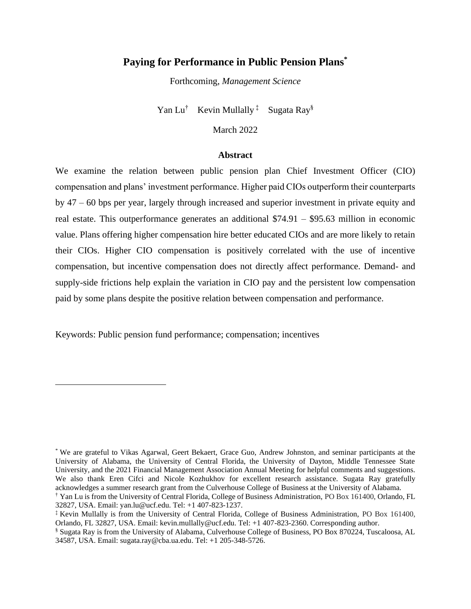# **Paying for Performance in Public Pension Plans\***

Forthcoming, *Management Science*

Yan Lu<sup>†</sup> Kevin Mullally<sup>‡</sup> Sugata Ray<sup>§</sup>

March 2022

#### **Abstract**

We examine the relation between public pension plan Chief Investment Officer (CIO) compensation and plans' investment performance. Higher paid CIOs outperform their counterparts by 47 – 60 bps per year, largely through increased and superior investment in private equity and real estate. This outperformance generates an additional \$74.91 – \$95.63 million in economic value. Plans offering higher compensation hire better educated CIOs and are more likely to retain their CIOs. Higher CIO compensation is positively correlated with the use of incentive compensation, but incentive compensation does not directly affect performance. Demand- and supply-side frictions help explain the variation in CIO pay and the persistent low compensation paid by some plans despite the positive relation between compensation and performance.

Keywords: Public pension fund performance; compensation; incentives

<sup>\*</sup> We are grateful to Vikas Agarwal, Geert Bekaert, Grace Guo, Andrew Johnston, and seminar participants at the University of Alabama, the University of Central Florida, the University of Dayton, Middle Tennessee State University, and the 2021 Financial Management Association Annual Meeting for helpful comments and suggestions. We also thank Eren Cifci and Nicole Kozhukhov for excellent research assistance. Sugata Ray gratefully acknowledges a summer research grant from the Culverhouse College of Business at the University of Alabama. † Yan Lu is from the University of Central Florida, College of Business Administration, PO Box 161400, Orlando, FL

<sup>32827,</sup> USA. Email: yan.lu@ucf.edu. Tel: +1 407-823-1237.

<sup>‡</sup> Kevin Mullally is from the University of Central Florida, College of Business Administration, PO Box 161400, Orlando, FL 32827, USA. Email: kevin.mullally@ucf.edu. Tel: +1 407-823-2360. Corresponding author.

<sup>§</sup> Sugata Ray is from the University of Alabama, Culverhouse College of Business, PO Box 870224, Tuscaloosa, AL 34587, USA. Email: sugata.ray@cba.ua.edu. Tel: +1 205-348-5726.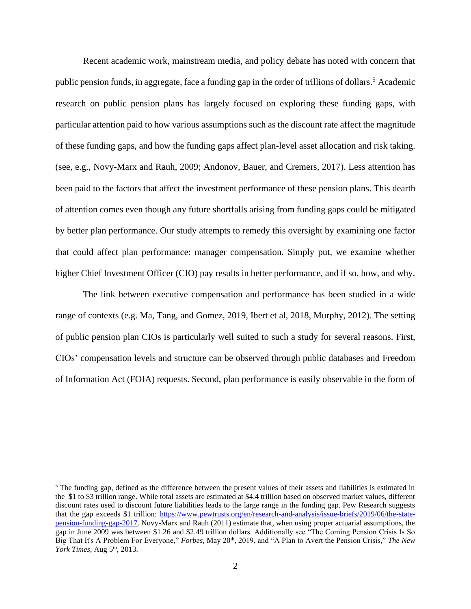Recent academic work, mainstream media, and policy debate has noted with concern that public pension funds, in aggregate, face a funding gap in the order of trillions of dollars.<sup>5</sup> Academic research on public pension plans has largely focused on exploring these funding gaps, with particular attention paid to how various assumptions such as the discount rate affect the magnitude of these funding gaps, and how the funding gaps affect plan-level asset allocation and risk taking. (see, e.g., Novy-Marx and Rauh, 2009; Andonov, Bauer, and Cremers, 2017). Less attention has been paid to the factors that affect the investment performance of these pension plans. This dearth of attention comes even though any future shortfalls arising from funding gaps could be mitigated by better plan performance. Our study attempts to remedy this oversight by examining one factor that could affect plan performance: manager compensation. Simply put, we examine whether higher Chief Investment Officer (CIO) pay results in better performance, and if so, how, and why.

The link between executive compensation and performance has been studied in a wide range of contexts (e.g. Ma, Tang, and Gomez, 2019, Ibert et al, 2018, Murphy, 2012). The setting of public pension plan CIOs is particularly well suited to such a study for several reasons. First, CIOs' compensation levels and structure can be observed through public databases and Freedom of Information Act (FOIA) requests. Second, plan performance is easily observable in the form of

<sup>&</sup>lt;sup>5</sup> The funding gap, defined as the difference between the present values of their assets and liabilities is estimated in the \$1 to \$3 trillion range. While total assets are estimated at \$4.4 trillion based on observed market values, different discount rates used to discount future liabilities leads to the large range in the funding gap. Pew Research suggests that the gap exceeds \$1 trillion: [https://www.pewtrusts.org/en/research-and-analysis/issue-briefs/2019/06/the-state](https://www.pewtrusts.org/en/research-and-analysis/issue-briefs/2019/06/the-state-pension-funding-gap-2017)[pension-funding-gap-2017.](https://www.pewtrusts.org/en/research-and-analysis/issue-briefs/2019/06/the-state-pension-funding-gap-2017) Novy-Marx and Rauh (2011) estimate that, when using proper actuarial assumptions, the gap in June 2009 was between \$1.26 and \$2.49 trillion dollars. Additionally see "The Coming Pension Crisis Is So Big That It's A Problem For Everyone," *Forbes*, May 20<sup>th</sup>, 2019, and "A Plan to Avert the Pension Crisis," The New *York Times, Aug 5<sup>th</sup>, 2013.*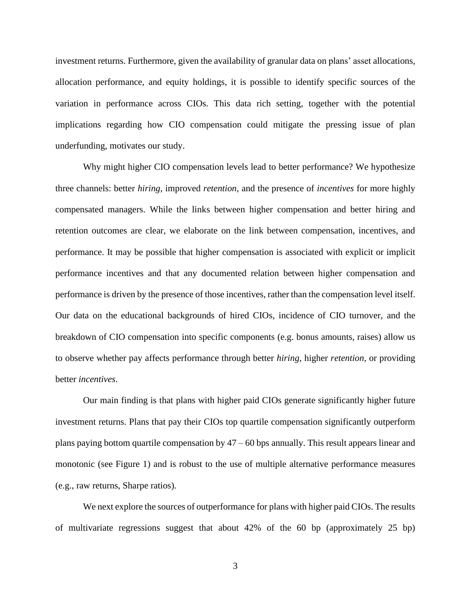investment returns. Furthermore, given the availability of granular data on plans' asset allocations, allocation performance, and equity holdings, it is possible to identify specific sources of the variation in performance across CIOs. This data rich setting, together with the potential implications regarding how CIO compensation could mitigate the pressing issue of plan underfunding, motivates our study.

Why might higher CIO compensation levels lead to better performance? We hypothesize three channels: better *hiring*, improved *retention*, and the presence of *incentives* for more highly compensated managers. While the links between higher compensation and better hiring and retention outcomes are clear, we elaborate on the link between compensation, incentives, and performance. It may be possible that higher compensation is associated with explicit or implicit performance incentives and that any documented relation between higher compensation and performance is driven by the presence of those incentives, rather than the compensation level itself. Our data on the educational backgrounds of hired CIOs, incidence of CIO turnover, and the breakdown of CIO compensation into specific components (e.g. bonus amounts, raises) allow us to observe whether pay affects performance through better *hiring*, higher *retention*, or providing better *incentives*.

Our main finding is that plans with higher paid CIOs generate significantly higher future investment returns. Plans that pay their CIOs top quartile compensation significantly outperform plans paying bottom quartile compensation by  $47 - 60$  bps annually. This result appears linear and monotonic (see Figure 1) and is robust to the use of multiple alternative performance measures (e.g., raw returns, Sharpe ratios).

We next explore the sources of outperformance for plans with higher paid CIOs. The results of multivariate regressions suggest that about 42% of the 60 bp (approximately 25 bp)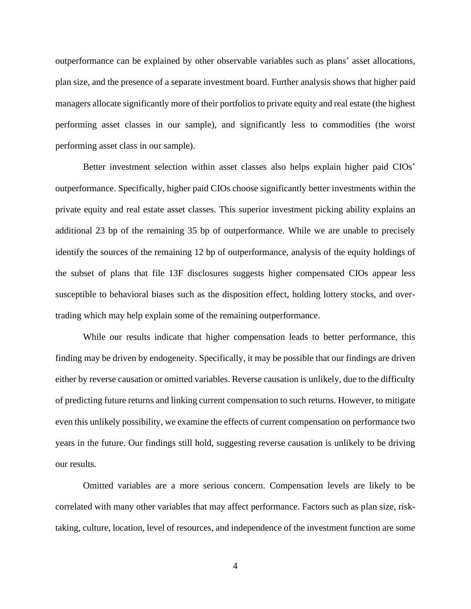outperformance can be explained by other observable variables such as plans' asset allocations, plan size, and the presence of a separate investment board. Further analysis shows that higher paid managers allocate significantly more of their portfolios to private equity and real estate (the highest performing asset classes in our sample), and significantly less to commodities (the worst performing asset class in our sample).

Better investment selection within asset classes also helps explain higher paid CIOs' outperformance. Specifically, higher paid CIOs choose significantly better investments within the private equity and real estate asset classes. This superior investment picking ability explains an additional 23 bp of the remaining 35 bp of outperformance. While we are unable to precisely identify the sources of the remaining 12 bp of outperformance, analysis of the equity holdings of the subset of plans that file 13F disclosures suggests higher compensated CIOs appear less susceptible to behavioral biases such as the disposition effect, holding lottery stocks, and overtrading which may help explain some of the remaining outperformance.

While our results indicate that higher compensation leads to better performance, this finding may be driven by endogeneity. Specifically, it may be possible that our findings are driven either by reverse causation or omitted variables. Reverse causation is unlikely, due to the difficulty of predicting future returns and linking current compensation to such returns. However, to mitigate even this unlikely possibility, we examine the effects of current compensation on performance two years in the future. Our findings still hold, suggesting reverse causation is unlikely to be driving our results.

Omitted variables are a more serious concern. Compensation levels are likely to be correlated with many other variables that may affect performance. Factors such as plan size, risktaking, culture, location, level of resources, and independence of the investment function are some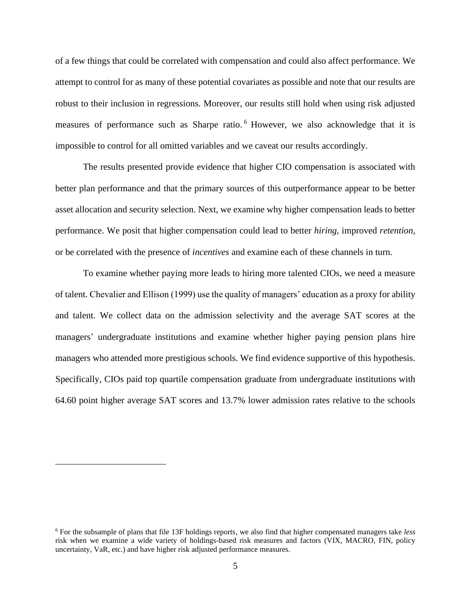of a few things that could be correlated with compensation and could also affect performance. We attempt to control for as many of these potential covariates as possible and note that our results are robust to their inclusion in regressions. Moreover, our results still hold when using risk adjusted measures of performance such as Sharpe ratio. <sup>6</sup> However, we also acknowledge that it is impossible to control for all omitted variables and we caveat our results accordingly.

The results presented provide evidence that higher CIO compensation is associated with better plan performance and that the primary sources of this outperformance appear to be better asset allocation and security selection. Next, we examine why higher compensation leads to better performance. We posit that higher compensation could lead to better *hiring,* improved *retention,* or be correlated with the presence of *incentives* and examine each of these channels in turn.

To examine whether paying more leads to hiring more talented CIOs, we need a measure of talent. Chevalier and Ellison (1999) use the quality of managers' education as a proxy for ability and talent. We collect data on the admission selectivity and the average SAT scores at the managers' undergraduate institutions and examine whether higher paying pension plans hire managers who attended more prestigious schools. We find evidence supportive of this hypothesis. Specifically, CIOs paid top quartile compensation graduate from undergraduate institutions with 64.60 point higher average SAT scores and 13.7% lower admission rates relative to the schools

<sup>6</sup> For the subsample of plans that file 13F holdings reports, we also find that higher compensated managers take *less*  risk when we examine a wide variety of holdings-based risk measures and factors (VIX, MACRO, FIN, policy uncertainty, VaR, etc.) and have higher risk adjusted performance measures.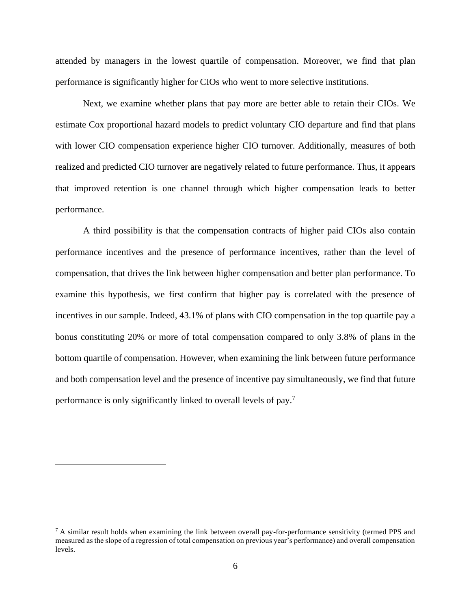attended by managers in the lowest quartile of compensation. Moreover, we find that plan performance is significantly higher for CIOs who went to more selective institutions.

Next, we examine whether plans that pay more are better able to retain their CIOs. We estimate Cox proportional hazard models to predict voluntary CIO departure and find that plans with lower CIO compensation experience higher CIO turnover. Additionally, measures of both realized and predicted CIO turnover are negatively related to future performance. Thus, it appears that improved retention is one channel through which higher compensation leads to better performance.

A third possibility is that the compensation contracts of higher paid CIOs also contain performance incentives and the presence of performance incentives, rather than the level of compensation, that drives the link between higher compensation and better plan performance. To examine this hypothesis, we first confirm that higher pay is correlated with the presence of incentives in our sample. Indeed, 43.1% of plans with CIO compensation in the top quartile pay a bonus constituting 20% or more of total compensation compared to only 3.8% of plans in the bottom quartile of compensation. However, when examining the link between future performance and both compensation level and the presence of incentive pay simultaneously, we find that future performance is only significantly linked to overall levels of pay.<sup>7</sup>

 $7$  A similar result holds when examining the link between overall pay-for-performance sensitivity (termed PPS and measured as the slope of a regression of total compensation on previous year's performance) and overall compensation levels.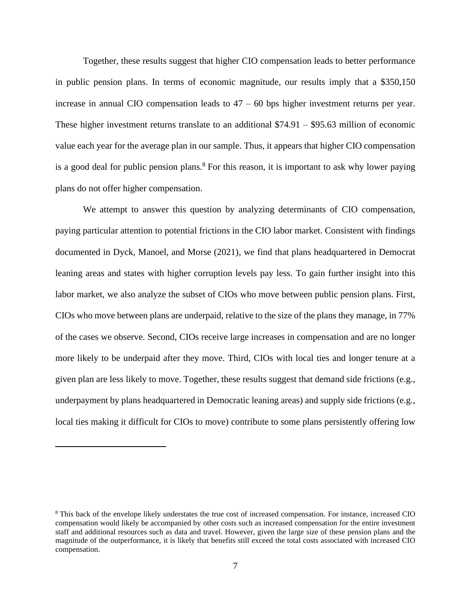Together, these results suggest that higher CIO compensation leads to better performance in public pension plans. In terms of economic magnitude, our results imply that a \$350,150 increase in annual CIO compensation leads to  $47 - 60$  bps higher investment returns per year. These higher investment returns translate to an additional \$74.91 – \$95.63 million of economic value each year for the average plan in our sample. Thus, it appears that higher CIO compensation is a good deal for public pension plans.<sup>8</sup> For this reason, it is important to ask why lower paying plans do not offer higher compensation.

We attempt to answer this question by analyzing determinants of CIO compensation, paying particular attention to potential frictions in the CIO labor market. Consistent with findings documented in Dyck, Manoel, and Morse (2021), we find that plans headquartered in Democrat leaning areas and states with higher corruption levels pay less. To gain further insight into this labor market, we also analyze the subset of CIOs who move between public pension plans. First, CIOs who move between plans are underpaid, relative to the size of the plans they manage, in 77% of the cases we observe. Second, CIOs receive large increases in compensation and are no longer more likely to be underpaid after they move. Third, CIOs with local ties and longer tenure at a given plan are less likely to move. Together, these results suggest that demand side frictions (e.g., underpayment by plans headquartered in Democratic leaning areas) and supply side frictions (e.g., local ties making it difficult for CIOs to move) contribute to some plans persistently offering low

<sup>8</sup> This back of the envelope likely understates the true cost of increased compensation. For instance, increased CIO compensation would likely be accompanied by other costs such as increased compensation for the entire investment staff and additional resources such as data and travel. However, given the large size of these pension plans and the magnitude of the outperformance, it is likely that benefits still exceed the total costs associated with increased CIO compensation.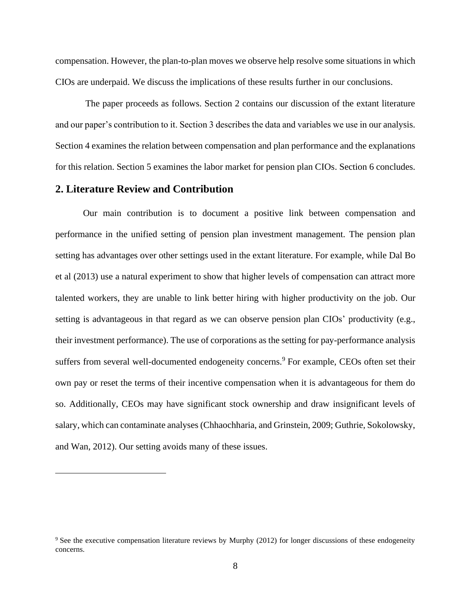compensation. However, the plan-to-plan moves we observe help resolve some situations in which CIOs are underpaid. We discuss the implications of these results further in our conclusions.

The paper proceeds as follows. Section 2 contains our discussion of the extant literature and our paper's contribution to it. Section 3 describes the data and variables we use in our analysis. Section 4 examines the relation between compensation and plan performance and the explanations for this relation. Section 5 examines the labor market for pension plan CIOs. Section 6 concludes.

## **2. Literature Review and Contribution**

Our main contribution is to document a positive link between compensation and performance in the unified setting of pension plan investment management. The pension plan setting has advantages over other settings used in the extant literature. For example, while Dal Bo et al (2013) use a natural experiment to show that higher levels of compensation can attract more talented workers, they are unable to link better hiring with higher productivity on the job. Our setting is advantageous in that regard as we can observe pension plan CIOs' productivity (e.g., their investment performance). The use of corporations as the setting for pay-performance analysis suffers from several well-documented endogeneity concerns.<sup>9</sup> For example, CEOs often set their own pay or reset the terms of their incentive compensation when it is advantageous for them do so. Additionally, CEOs may have significant stock ownership and draw insignificant levels of salary, which can contaminate analyses (Chhaochharia, and Grinstein, 2009; Guthrie, Sokolowsky, and Wan, 2012). Our setting avoids many of these issues.

<sup>&</sup>lt;sup>9</sup> See the executive compensation literature reviews by Murphy (2012) for longer discussions of these endogeneity concerns.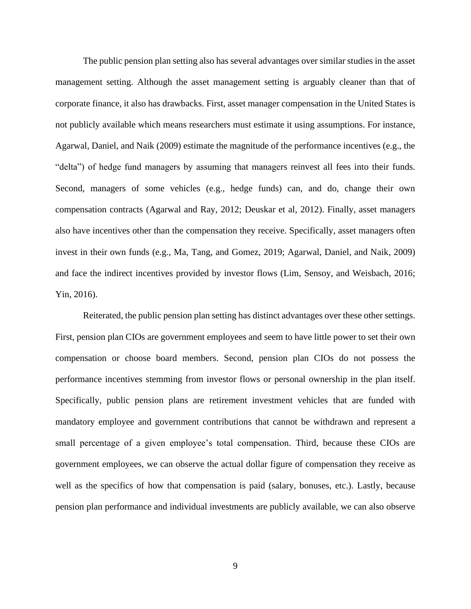The public pension plan setting also has several advantages over similar studies in the asset management setting. Although the asset management setting is arguably cleaner than that of corporate finance, it also has drawbacks. First, asset manager compensation in the United States is not publicly available which means researchers must estimate it using assumptions. For instance, Agarwal, Daniel, and Naik (2009) estimate the magnitude of the performance incentives (e.g., the "delta") of hedge fund managers by assuming that managers reinvest all fees into their funds. Second, managers of some vehicles (e.g., hedge funds) can, and do, change their own compensation contracts (Agarwal and Ray, 2012; Deuskar et al, 2012). Finally, asset managers also have incentives other than the compensation they receive. Specifically, asset managers often invest in their own funds (e.g., Ma, Tang, and Gomez, 2019; Agarwal, Daniel, and Naik, 2009) and face the indirect incentives provided by investor flows (Lim, Sensoy, and Weisbach, 2016; Yin, 2016).

Reiterated, the public pension plan setting has distinct advantages over these other settings. First, pension plan CIOs are government employees and seem to have little power to set their own compensation or choose board members. Second, pension plan CIOs do not possess the performance incentives stemming from investor flows or personal ownership in the plan itself. Specifically, public pension plans are retirement investment vehicles that are funded with mandatory employee and government contributions that cannot be withdrawn and represent a small percentage of a given employee's total compensation. Third, because these CIOs are government employees, we can observe the actual dollar figure of compensation they receive as well as the specifics of how that compensation is paid (salary, bonuses, etc.). Lastly, because pension plan performance and individual investments are publicly available, we can also observe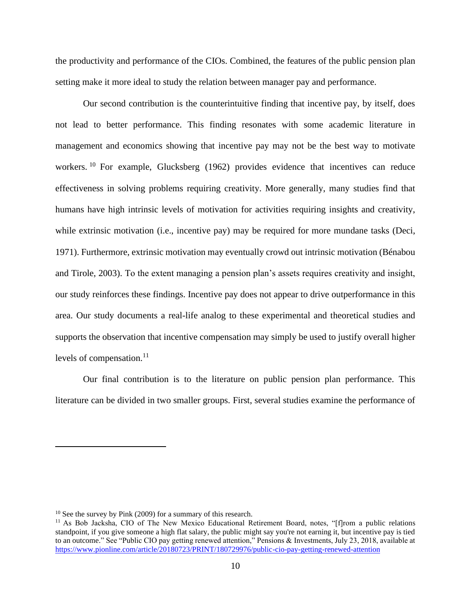the productivity and performance of the CIOs. Combined, the features of the public pension plan setting make it more ideal to study the relation between manager pay and performance.

Our second contribution is the counterintuitive finding that incentive pay, by itself, does not lead to better performance. This finding resonates with some academic literature in management and economics showing that incentive pay may not be the best way to motivate workers.<sup>10</sup> For example, Glucksberg (1962) provides evidence that incentives can reduce effectiveness in solving problems requiring creativity. More generally, many studies find that humans have high intrinsic levels of motivation for activities requiring insights and creativity, while extrinsic motivation (i.e., incentive pay) may be required for more mundane tasks (Deci, 1971). Furthermore, extrinsic motivation may eventually crowd out intrinsic motivation (Bénabou and Tirole, 2003). To the extent managing a pension plan's assets requires creativity and insight, our study reinforces these findings. Incentive pay does not appear to drive outperformance in this area. Our study documents a real-life analog to these experimental and theoretical studies and supports the observation that incentive compensation may simply be used to justify overall higher levels of compensation. $^{11}$ 

Our final contribution is to the literature on public pension plan performance. This literature can be divided in two smaller groups. First, several studies examine the performance of

<sup>&</sup>lt;sup>10</sup> See the survey by Pink (2009) for a summary of this research.

<sup>11</sup> As Bob Jacksha, CIO of The New Mexico Educational Retirement Board, notes, "[f]rom a public relations standpoint, if you give someone a high flat salary, the public might say you're not earning it, but incentive pay is tied to an outcome." See "Public CIO pay getting renewed attention," Pensions & Investments, July 23, 2018, available at <https://www.pionline.com/article/20180723/PRINT/180729976/public-cio-pay-getting-renewed-attention>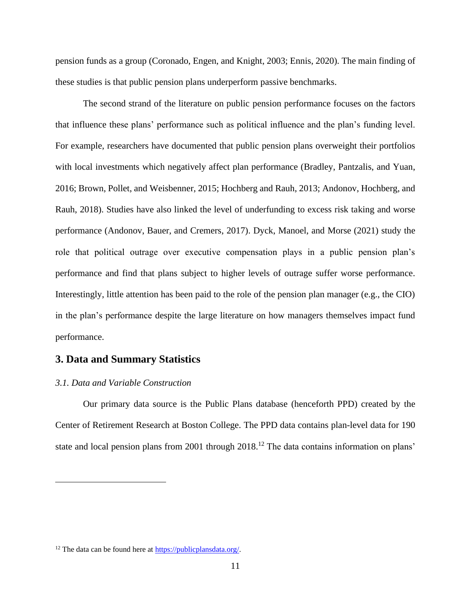pension funds as a group (Coronado, Engen, and Knight, 2003; Ennis, 2020). The main finding of these studies is that public pension plans underperform passive benchmarks.

The second strand of the literature on public pension performance focuses on the factors that influence these plans' performance such as political influence and the plan's funding level. For example, researchers have documented that public pension plans overweight their portfolios with local investments which negatively affect plan performance (Bradley, Pantzalis, and Yuan, 2016; Brown, Pollet, and Weisbenner, 2015; Hochberg and Rauh, 2013; Andonov, Hochberg, and Rauh, 2018). Studies have also linked the level of underfunding to excess risk taking and worse performance (Andonov, Bauer, and Cremers, 2017). Dyck, Manoel, and Morse (2021) study the role that political outrage over executive compensation plays in a public pension plan's performance and find that plans subject to higher levels of outrage suffer worse performance. Interestingly, little attention has been paid to the role of the pension plan manager (e.g., the CIO) in the plan's performance despite the large literature on how managers themselves impact fund performance.

## **3. Data and Summary Statistics**

### *3.1. Data and Variable Construction*

Our primary data source is the Public Plans database (henceforth PPD) created by the Center of Retirement Research at Boston College. The PPD data contains plan-level data for 190 state and local pension plans from 2001 through 2018.<sup>12</sup> The data contains information on plans'

<sup>&</sup>lt;sup>12</sup> The data can be found here at [https://publicplansdata.org/.](https://publicplansdata.org/)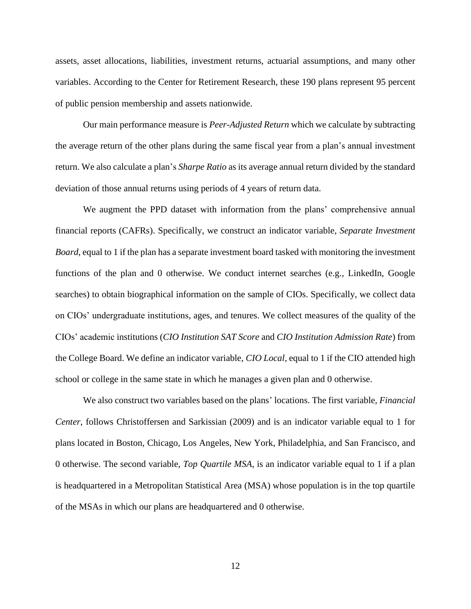assets, asset allocations, liabilities, investment returns, actuarial assumptions, and many other variables. According to the Center for Retirement Research, these 190 plans represent 95 percent of public pension membership and assets nationwide.

Our main performance measure is *Peer-Adjusted Return* which we calculate by subtracting the average return of the other plans during the same fiscal year from a plan's annual investment return. We also calculate a plan's *Sharpe Ratio* as its average annual return divided by the standard deviation of those annual returns using periods of 4 years of return data.

We augment the PPD dataset with information from the plans' comprehensive annual financial reports (CAFRs). Specifically, we construct an indicator variable, *Separate Investment Board*, equal to 1 if the plan has a separate investment board tasked with monitoring the investment functions of the plan and 0 otherwise. We conduct internet searches (e.g., LinkedIn, Google searches) to obtain biographical information on the sample of CIOs. Specifically, we collect data on CIOs' undergraduate institutions, ages, and tenures. We collect measures of the quality of the CIOs' academic institutions (*CIO Institution SAT Score* and *CIO Institution Admission Rate*) from the College Board. We define an indicator variable, *CIO Local*, equal to 1 if the CIO attended high school or college in the same state in which he manages a given plan and 0 otherwise.

We also construct two variables based on the plans' locations. The first variable, *Financial Center*, follows Christoffersen and Sarkissian (2009) and is an indicator variable equal to 1 for plans located in Boston, Chicago, Los Angeles, New York, Philadelphia, and San Francisco, and 0 otherwise. The second variable, *Top Quartile MSA*, is an indicator variable equal to 1 if a plan is headquartered in a Metropolitan Statistical Area (MSA) whose population is in the top quartile of the MSAs in which our plans are headquartered and 0 otherwise.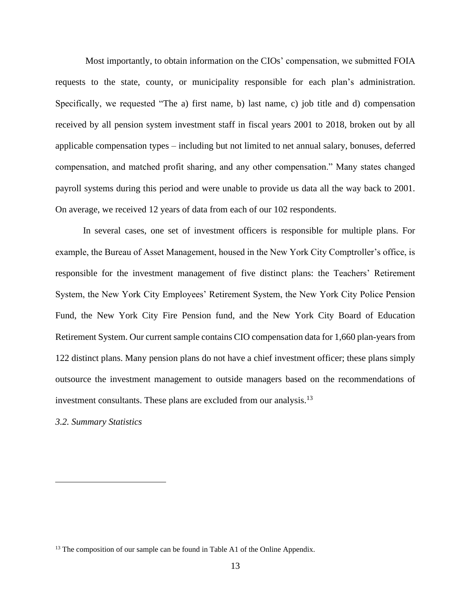Most importantly, to obtain information on the CIOs' compensation, we submitted FOIA requests to the state, county, or municipality responsible for each plan's administration. Specifically, we requested "The a) first name, b) last name, c) job title and d) compensation received by all pension system investment staff in fiscal years 2001 to 2018, broken out by all applicable compensation types – including but not limited to net annual salary, bonuses, deferred compensation, and matched profit sharing, and any other compensation." Many states changed payroll systems during this period and were unable to provide us data all the way back to 2001. On average, we received 12 years of data from each of our 102 respondents.

In several cases, one set of investment officers is responsible for multiple plans. For example, the Bureau of Asset Management, housed in the New York City Comptroller's office, is responsible for the investment management of five distinct plans: the Teachers' Retirement System, the New York City Employees' Retirement System, the New York City Police Pension Fund, the New York City Fire Pension fund, and the New York City Board of Education Retirement System. Our current sample contains CIO compensation data for 1,660 plan-years from 122 distinct plans. Many pension plans do not have a chief investment officer; these plans simply outsource the investment management to outside managers based on the recommendations of investment consultants. These plans are excluded from our analysis.<sup>13</sup>

*3.2. Summary Statistics*

<sup>&</sup>lt;sup>13</sup> The composition of our sample can be found in Table A1 of the Online Appendix.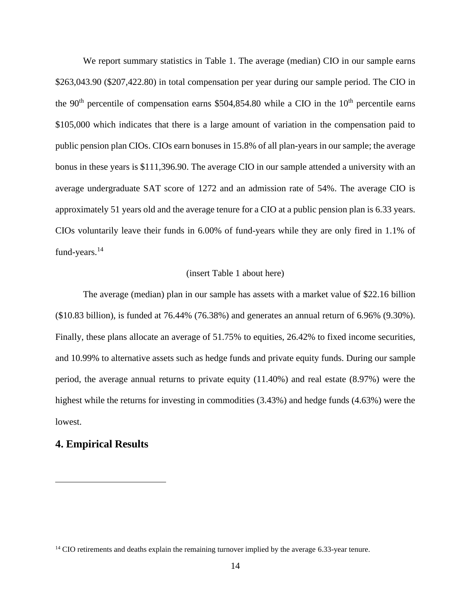We report summary statistics in Table 1. The average (median) CIO in our sample earns \$263,043.90 (\$207,422.80) in total compensation per year during our sample period. The CIO in the  $90<sup>th</sup>$  percentile of compensation earns \$504,854.80 while a CIO in the  $10<sup>th</sup>$  percentile earns \$105,000 which indicates that there is a large amount of variation in the compensation paid to public pension plan CIOs. CIOs earn bonuses in 15.8% of all plan-years in our sample; the average bonus in these years is \$111,396.90. The average CIO in our sample attended a university with an average undergraduate SAT score of 1272 and an admission rate of 54%. The average CIO is approximately 51 years old and the average tenure for a CIO at a public pension plan is 6.33 years. CIOs voluntarily leave their funds in 6.00% of fund-years while they are only fired in 1.1% of fund-years.<sup>14</sup>

### (insert Table 1 about here)

The average (median) plan in our sample has assets with a market value of \$22.16 billion (\$10.83 billion), is funded at 76.44% (76.38%) and generates an annual return of 6.96% (9.30%). Finally, these plans allocate an average of 51.75% to equities, 26.42% to fixed income securities, and 10.99% to alternative assets such as hedge funds and private equity funds. During our sample period, the average annual returns to private equity (11.40%) and real estate (8.97%) were the highest while the returns for investing in commodities (3.43%) and hedge funds (4.63%) were the lowest.

## **4. Empirical Results**

<sup>&</sup>lt;sup>14</sup> CIO retirements and deaths explain the remaining turnover implied by the average 6.33-year tenure.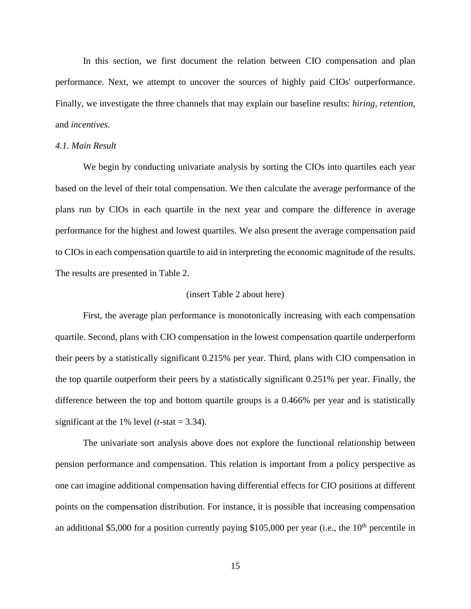In this section, we first document the relation between CIO compensation and plan performance. Next, we attempt to uncover the sources of highly paid CIOs' outperformance. Finally, we investigate the three channels that may explain our baseline results: *hiring*, *retention*, and *incentives*.

### *4.1. Main Result*

We begin by conducting univariate analysis by sorting the CIOs into quartiles each year based on the level of their total compensation. We then calculate the average performance of the plans run by CIOs in each quartile in the next year and compare the difference in average performance for the highest and lowest quartiles. We also present the average compensation paid to CIOs in each compensation quartile to aid in interpreting the economic magnitude of the results. The results are presented in Table 2.

#### (insert Table 2 about here)

First, the average plan performance is monotonically increasing with each compensation quartile. Second, plans with CIO compensation in the lowest compensation quartile underperform their peers by a statistically significant 0.215% per year. Third, plans with CIO compensation in the top quartile outperform their peers by a statistically significant 0.251% per year. Finally, the difference between the top and bottom quartile groups is a 0.466% per year and is statistically significant at the 1% level  $(t$ -stat = 3.34).

The univariate sort analysis above does not explore the functional relationship between pension performance and compensation. This relation is important from a policy perspective as one can imagine additional compensation having differential effects for CIO positions at different points on the compensation distribution. For instance, it is possible that increasing compensation an additional \$5,000 for a position currently paying \$105,000 per year (i.e., the  $10<sup>th</sup>$  percentile in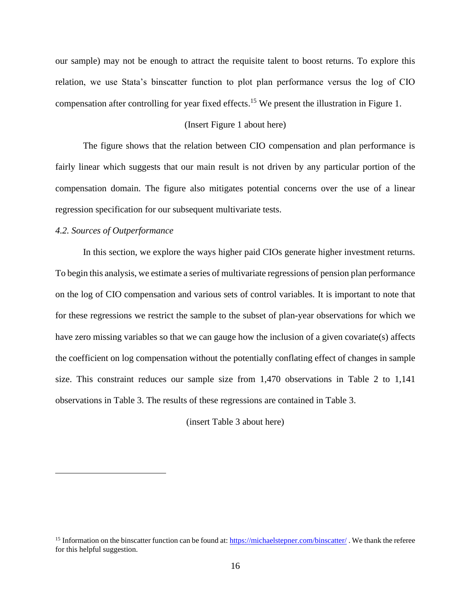our sample) may not be enough to attract the requisite talent to boost returns. To explore this relation, we use Stata's binscatter function to plot plan performance versus the log of CIO compensation after controlling for year fixed effects.<sup>15</sup> We present the illustration in Figure 1.

### (Insert Figure 1 about here)

The figure shows that the relation between CIO compensation and plan performance is fairly linear which suggests that our main result is not driven by any particular portion of the compensation domain. The figure also mitigates potential concerns over the use of a linear regression specification for our subsequent multivariate tests.

#### *4.2. Sources of Outperformance*

In this section, we explore the ways higher paid CIOs generate higher investment returns. To begin this analysis, we estimate a series of multivariate regressions of pension plan performance on the log of CIO compensation and various sets of control variables. It is important to note that for these regressions we restrict the sample to the subset of plan-year observations for which we have zero missing variables so that we can gauge how the inclusion of a given covariate(s) affects the coefficient on log compensation without the potentially conflating effect of changes in sample size. This constraint reduces our sample size from 1,470 observations in Table 2 to 1,141 observations in Table 3. The results of these regressions are contained in Table 3.

(insert Table 3 about here)

<sup>&</sup>lt;sup>15</sup> Information on the binscatter function can be found at[: https://michaelstepner.com/binscatter/](https://michaelstepner.com/binscatter/). We thank the referee for this helpful suggestion.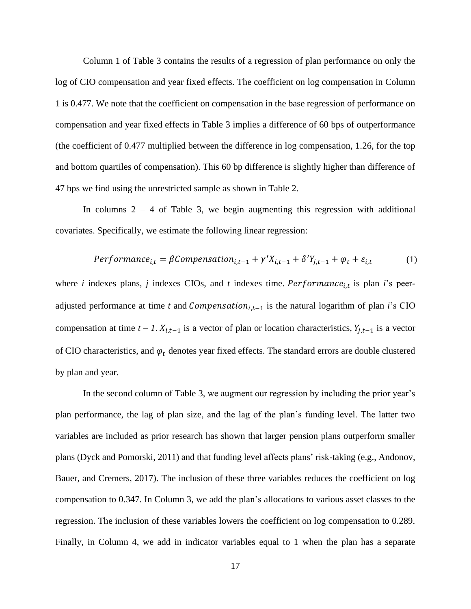Column 1 of Table 3 contains the results of a regression of plan performance on only the log of CIO compensation and year fixed effects. The coefficient on log compensation in Column 1 is 0.477. We note that the coefficient on compensation in the base regression of performance on compensation and year fixed effects in Table 3 implies a difference of 60 bps of outperformance (the coefficient of 0.477 multiplied between the difference in log compensation, 1.26, for the top and bottom quartiles of compensation). This 60 bp difference is slightly higher than difference of 47 bps we find using the unrestricted sample as shown in Table 2.

In columns  $2 - 4$  of Table 3, we begin augmenting this regression with additional covariates. Specifically, we estimate the following linear regression:

$$
Performance_{i,t} = \beta Componentsation_{i,t-1} + \gamma' X_{i,t-1} + \delta' Y_{j,t-1} + \varphi_t + \varepsilon_{i,t}
$$
 (1)

where *i* indexes plans, *j* indexes CIOs, and *t* indexes time.  $Performance_{i,t}$  is plan *i*'s peeradjusted performance at time *t* and  $Comparison_{i,t-1}$  is the natural logarithm of plan *i*'s CIO compensation at time  $t - 1$ .  $X_{i,t-1}$  is a vector of plan or location characteristics,  $Y_{j,t-1}$  is a vector of CIO characteristics, and  $\varphi_t$  denotes year fixed effects. The standard errors are double clustered by plan and year.

In the second column of Table 3, we augment our regression by including the prior year's plan performance, the lag of plan size, and the lag of the plan's funding level. The latter two variables are included as prior research has shown that larger pension plans outperform smaller plans (Dyck and Pomorski, 2011) and that funding level affects plans' risk-taking (e.g., Andonov, Bauer, and Cremers, 2017). The inclusion of these three variables reduces the coefficient on log compensation to 0.347. In Column 3, we add the plan's allocations to various asset classes to the regression. The inclusion of these variables lowers the coefficient on log compensation to 0.289. Finally, in Column 4, we add in indicator variables equal to 1 when the plan has a separate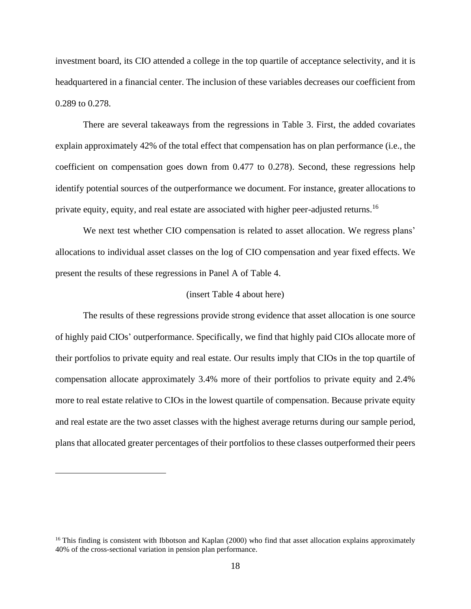investment board, its CIO attended a college in the top quartile of acceptance selectivity, and it is headquartered in a financial center. The inclusion of these variables decreases our coefficient from 0.289 to 0.278.

There are several takeaways from the regressions in Table 3. First, the added covariates explain approximately 42% of the total effect that compensation has on plan performance (i.e., the coefficient on compensation goes down from 0.477 to 0.278). Second, these regressions help identify potential sources of the outperformance we document. For instance, greater allocations to private equity, equity, and real estate are associated with higher peer-adjusted returns.<sup>16</sup>

We next test whether CIO compensation is related to asset allocation. We regress plans' allocations to individual asset classes on the log of CIO compensation and year fixed effects. We present the results of these regressions in Panel A of Table 4.

#### (insert Table 4 about here)

The results of these regressions provide strong evidence that asset allocation is one source of highly paid CIOs' outperformance. Specifically, we find that highly paid CIOs allocate more of their portfolios to private equity and real estate. Our results imply that CIOs in the top quartile of compensation allocate approximately 3.4% more of their portfolios to private equity and 2.4% more to real estate relative to CIOs in the lowest quartile of compensation. Because private equity and real estate are the two asset classes with the highest average returns during our sample period, plans that allocated greater percentages of their portfolios to these classes outperformed their peers

 $16$  This finding is consistent with Ibbotson and Kaplan (2000) who find that asset allocation explains approximately 40% of the cross-sectional variation in pension plan performance.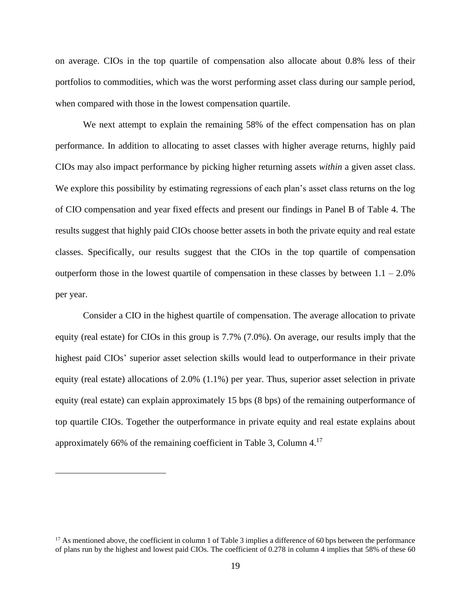on average. CIOs in the top quartile of compensation also allocate about 0.8% less of their portfolios to commodities, which was the worst performing asset class during our sample period, when compared with those in the lowest compensation quartile.

We next attempt to explain the remaining 58% of the effect compensation has on plan performance. In addition to allocating to asset classes with higher average returns, highly paid CIOs may also impact performance by picking higher returning assets *within* a given asset class. We explore this possibility by estimating regressions of each plan's asset class returns on the log of CIO compensation and year fixed effects and present our findings in Panel B of Table 4. The results suggest that highly paid CIOs choose better assets in both the private equity and real estate classes. Specifically, our results suggest that the CIOs in the top quartile of compensation outperform those in the lowest quartile of compensation in these classes by between  $1.1 - 2.0\%$ per year.

Consider a CIO in the highest quartile of compensation. The average allocation to private equity (real estate) for CIOs in this group is 7.7% (7.0%). On average, our results imply that the highest paid CIOs' superior asset selection skills would lead to outperformance in their private equity (real estate) allocations of 2.0% (1.1%) per year. Thus, superior asset selection in private equity (real estate) can explain approximately 15 bps (8 bps) of the remaining outperformance of top quartile CIOs. Together the outperformance in private equity and real estate explains about approximately 66% of the remaining coefficient in Table 3, Column 4.<sup>17</sup>

 $17$  As mentioned above, the coefficient in column 1 of Table 3 implies a difference of 60 bps between the performance of plans run by the highest and lowest paid CIOs. The coefficient of 0.278 in column 4 implies that 58% of these 60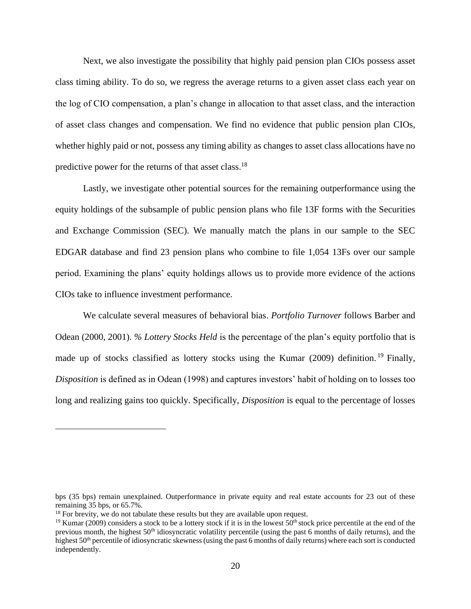Next, we also investigate the possibility that highly paid pension plan CIOs possess asset class timing ability. To do so, we regress the average returns to a given asset class each year on the log of CIO compensation, a plan's change in allocation to that asset class, and the interaction of asset class changes and compensation. We find no evidence that public pension plan CIOs, whether highly paid or not, possess any timing ability as changes to asset class allocations have no predictive power for the returns of that asset class.<sup>18</sup>

Lastly, we investigate other potential sources for the remaining outperformance using the equity holdings of the subsample of public pension plans who file 13F forms with the Securities and Exchange Commission (SEC). We manually match the plans in our sample to the SEC EDGAR database and find 23 pension plans who combine to file 1,054 13Fs over our sample period. Examining the plans' equity holdings allows us to provide more evidence of the actions CIOs take to influence investment performance.

We calculate several measures of behavioral bias. *Portfolio Turnover* follows Barber and Odean (2000, 2001). *% Lottery Stocks Held* is the percentage of the plan's equity portfolio that is made up of stocks classified as lottery stocks using the Kumar (2009) definition.<sup>19</sup> Finally, *Disposition* is defined as in Odean (1998) and captures investors' habit of holding on to losses too long and realizing gains too quickly. Specifically, *Disposition* is equal to the percentage of losses

bps (35 bps) remain unexplained. Outperformance in private equity and real estate accounts for 23 out of these remaining 35 bps, or 65.7%.

<sup>&</sup>lt;sup>18</sup> For brevity, we do not tabulate these results but they are available upon request.

<sup>&</sup>lt;sup>19</sup> Kumar (2009) considers a stock to be a lottery stock if it is in the lowest  $50<sup>th</sup>$  stock price percentile at the end of the previous month, the highest 50<sup>th</sup> idiosyncratic volatility percentile (using the past 6 months of daily returns), and the highest 50<sup>th</sup> percentile of idiosyncratic skewness (using the past 6 months of daily returns) where each sort is conducted independently.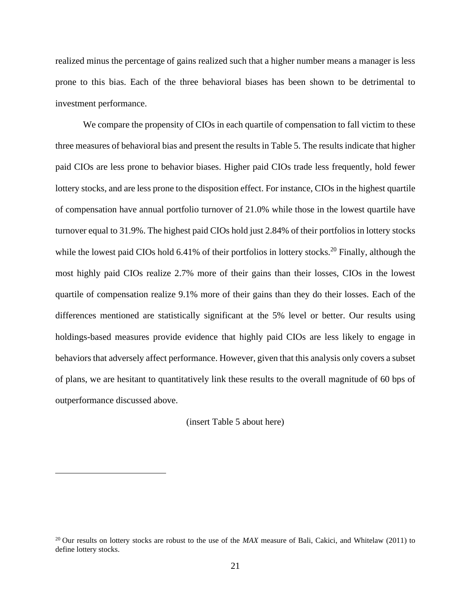realized minus the percentage of gains realized such that a higher number means a manager is less prone to this bias. Each of the three behavioral biases has been shown to be detrimental to investment performance.

We compare the propensity of CIOs in each quartile of compensation to fall victim to these three measures of behavioral bias and present the results in Table 5. The results indicate that higher paid CIOs are less prone to behavior biases. Higher paid CIOs trade less frequently, hold fewer lottery stocks, and are less prone to the disposition effect. For instance, CIOs in the highest quartile of compensation have annual portfolio turnover of 21.0% while those in the lowest quartile have turnover equal to 31.9%. The highest paid CIOs hold just 2.84% of their portfolios in lottery stocks while the lowest paid CIOs hold 6.41% of their portfolios in lottery stocks.<sup>20</sup> Finally, although the most highly paid CIOs realize 2.7% more of their gains than their losses, CIOs in the lowest quartile of compensation realize 9.1% more of their gains than they do their losses. Each of the differences mentioned are statistically significant at the 5% level or better. Our results using holdings-based measures provide evidence that highly paid CIOs are less likely to engage in behaviors that adversely affect performance. However, given that this analysis only covers a subset of plans, we are hesitant to quantitatively link these results to the overall magnitude of 60 bps of outperformance discussed above.

(insert Table 5 about here)

<sup>&</sup>lt;sup>20</sup> Our results on lottery stocks are robust to the use of the *MAX* measure of Bali, Cakici, and Whitelaw (2011) to define lottery stocks.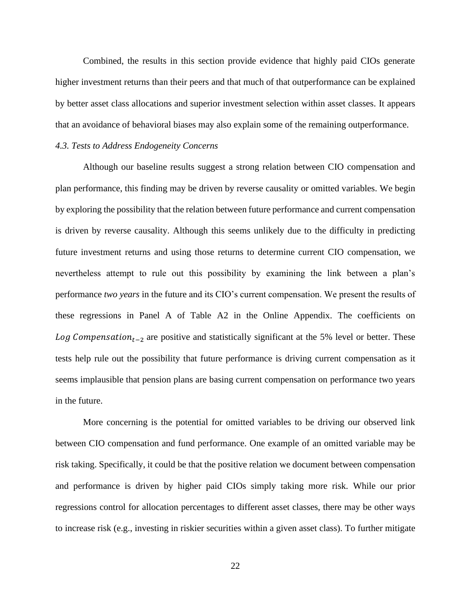Combined, the results in this section provide evidence that highly paid CIOs generate higher investment returns than their peers and that much of that outperformance can be explained by better asset class allocations and superior investment selection within asset classes. It appears that an avoidance of behavioral biases may also explain some of the remaining outperformance.

#### *4.3. Tests to Address Endogeneity Concerns*

Although our baseline results suggest a strong relation between CIO compensation and plan performance, this finding may be driven by reverse causality or omitted variables. We begin by exploring the possibility that the relation between future performance and current compensation is driven by reverse causality. Although this seems unlikely due to the difficulty in predicting future investment returns and using those returns to determine current CIO compensation, we nevertheless attempt to rule out this possibility by examining the link between a plan's performance *two years* in the future and its CIO's current compensation. We present the results of these regressions in Panel A of Table A2 in the Online Appendix. The coefficients on *Log Compensation*<sub>t-2</sub> are positive and statistically significant at the 5% level or better. These tests help rule out the possibility that future performance is driving current compensation as it seems implausible that pension plans are basing current compensation on performance two years in the future.

More concerning is the potential for omitted variables to be driving our observed link between CIO compensation and fund performance. One example of an omitted variable may be risk taking. Specifically, it could be that the positive relation we document between compensation and performance is driven by higher paid CIOs simply taking more risk. While our prior regressions control for allocation percentages to different asset classes, there may be other ways to increase risk (e.g., investing in riskier securities within a given asset class). To further mitigate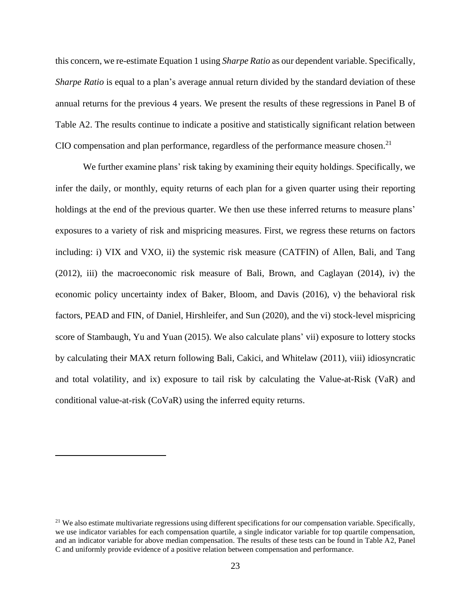this concern, we re-estimate Equation 1 using *Sharpe Ratio* as our dependent variable. Specifically, *Sharpe Ratio* is equal to a plan's average annual return divided by the standard deviation of these annual returns for the previous 4 years. We present the results of these regressions in Panel B of Table A2. The results continue to indicate a positive and statistically significant relation between CIO compensation and plan performance, regardless of the performance measure chosen.<sup>21</sup>

We further examine plans' risk taking by examining their equity holdings. Specifically, we infer the daily, or monthly, equity returns of each plan for a given quarter using their reporting holdings at the end of the previous quarter. We then use these inferred returns to measure plans' exposures to a variety of risk and mispricing measures. First, we regress these returns on factors including: i) VIX and VXO, ii) the systemic risk measure (CATFIN) of Allen, Bali, and Tang (2012), iii) the macroeconomic risk measure of Bali, Brown, and Caglayan (2014), iv) the economic policy uncertainty index of Baker, Bloom, and Davis (2016), v) the behavioral risk factors, PEAD and FIN, of Daniel, Hirshleifer, and Sun (2020), and the vi) stock-level mispricing score of Stambaugh, Yu and Yuan (2015). We also calculate plans' vii) exposure to lottery stocks by calculating their MAX return following Bali, Cakici, and Whitelaw (2011), viii) idiosyncratic and total volatility, and ix) exposure to tail risk by calculating the Value-at-Risk (VaR) and conditional value-at-risk (CoVaR) using the inferred equity returns.

 $21$  We also estimate multivariate regressions using different specifications for our compensation variable. Specifically, we use indicator variables for each compensation quartile, a single indicator variable for top quartile compensation, and an indicator variable for above median compensation. The results of these tests can be found in Table A2, Panel C and uniformly provide evidence of a positive relation between compensation and performance.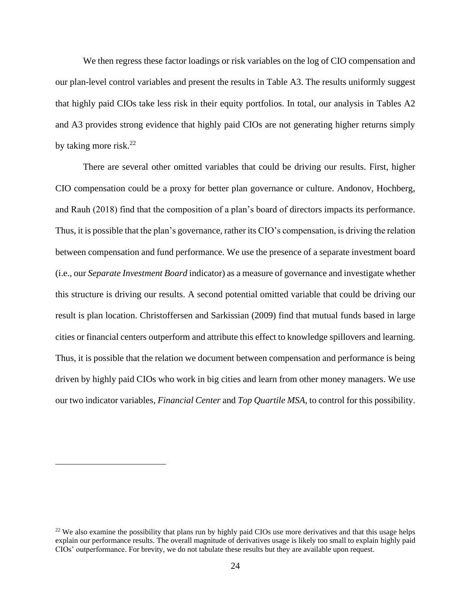We then regress these factor loadings or risk variables on the log of CIO compensation and our plan-level control variables and present the results in Table A3. The results uniformly suggest that highly paid CIOs take less risk in their equity portfolios. In total, our analysis in Tables A2 and A3 provides strong evidence that highly paid CIOs are not generating higher returns simply by taking more risk.<sup>22</sup>

There are several other omitted variables that could be driving our results. First, higher CIO compensation could be a proxy for better plan governance or culture. Andonov, Hochberg, and Rauh (2018) find that the composition of a plan's board of directors impacts its performance. Thus, it is possible that the plan's governance, rather its CIO's compensation, is driving the relation between compensation and fund performance. We use the presence of a separate investment board (i.e., our *Separate Investment Board* indicator) as a measure of governance and investigate whether this structure is driving our results. A second potential omitted variable that could be driving our result is plan location. Christoffersen and Sarkissian (2009) find that mutual funds based in large cities or financial centers outperform and attribute this effect to knowledge spillovers and learning. Thus, it is possible that the relation we document between compensation and performance is being driven by highly paid CIOs who work in big cities and learn from other money managers. We use our two indicator variables, *Financial Center* and *Top Quartile MSA*, to control for this possibility.

<sup>&</sup>lt;sup>22</sup> We also examine the possibility that plans run by highly paid CIOs use more derivatives and that this usage helps explain our performance results. The overall magnitude of derivatives usage is likely too small to explain highly paid CIOs' outperformance. For brevity, we do not tabulate these results but they are available upon request.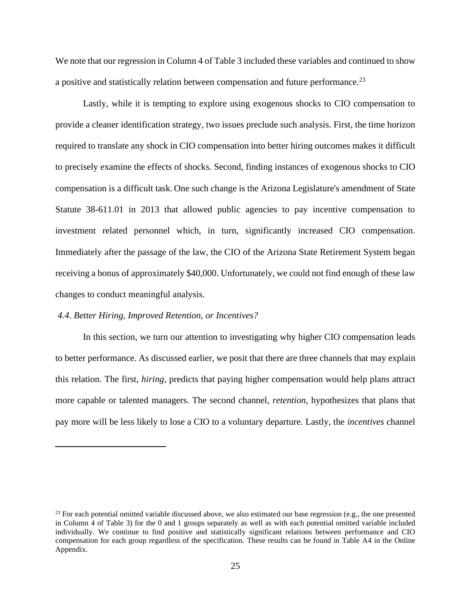We note that our regression in Column 4 of Table 3 included these variables and continued to show a positive and statistically relation between compensation and future performance.<sup>23</sup>

Lastly, while it is tempting to explore using exogenous shocks to CIO compensation to provide a cleaner identification strategy, two issues preclude such analysis. First, the time horizon required to translate any shock in CIO compensation into better hiring outcomes makes it difficult to precisely examine the effects of shocks. Second, finding instances of exogenous shocks to CIO compensation is a difficult task. One such change is the Arizona Legislature's amendment of State Statute 38-611.01 in 2013 that allowed public agencies to pay incentive compensation to investment related personnel which, in turn, significantly increased CIO compensation. Immediately after the passage of the law, the CIO of the Arizona State Retirement System began receiving a bonus of approximately \$40,000. Unfortunately, we could not find enough of these law changes to conduct meaningful analysis.

#### *4.4. Better Hiring, Improved Retention, or Incentives?*

In this section, we turn our attention to investigating why higher CIO compensation leads to better performance. As discussed earlier, we posit that there are three channels that may explain this relation. The first, *hiring*, predicts that paying higher compensation would help plans attract more capable or talented managers. The second channel, *retention*, hypothesizes that plans that pay more will be less likely to lose a CIO to a voluntary departure. Lastly, the *incentives* channel

 $^{23}$  For each potential omitted variable discussed above, we also estimated our base regression (e.g., the one presented in Column 4 of Table 3) for the 0 and 1 groups separately as well as with each potential omitted variable included individually. We continue to find positive and statistically significant relations between performance and CIO compensation for each group regardless of the specification. These results can be found in Table A4 in the Online Appendix.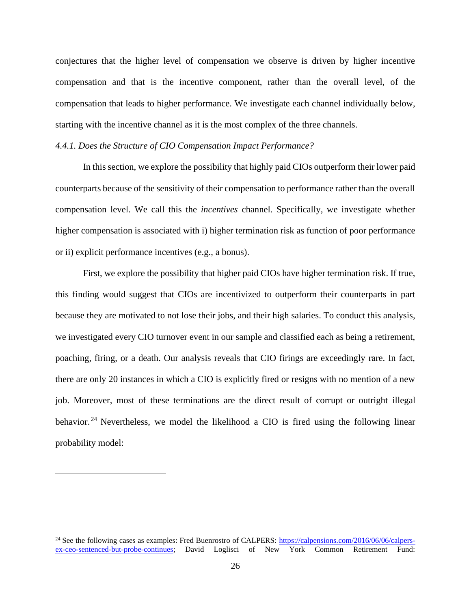conjectures that the higher level of compensation we observe is driven by higher incentive compensation and that is the incentive component, rather than the overall level, of the compensation that leads to higher performance. We investigate each channel individually below, starting with the incentive channel as it is the most complex of the three channels.

#### *4.4.1. Does the Structure of CIO Compensation Impact Performance?*

In this section, we explore the possibility that highly paid CIOs outperform their lower paid counterparts because of the sensitivity of their compensation to performance rather than the overall compensation level. We call this the *incentives* channel. Specifically, we investigate whether higher compensation is associated with i) higher termination risk as function of poor performance or ii) explicit performance incentives (e.g., a bonus).

First, we explore the possibility that higher paid CIOs have higher termination risk. If true, this finding would suggest that CIOs are incentivized to outperform their counterparts in part because they are motivated to not lose their jobs, and their high salaries. To conduct this analysis, we investigated every CIO turnover event in our sample and classified each as being a retirement, poaching, firing, or a death. Our analysis reveals that CIO firings are exceedingly rare. In fact, there are only 20 instances in which a CIO is explicitly fired or resigns with no mention of a new job. Moreover, most of these terminations are the direct result of corrupt or outright illegal behavior.<sup>24</sup> Nevertheless, we model the likelihood a CIO is fired using the following linear probability model:

<sup>&</sup>lt;sup>24</sup> See the following cases as examples: Fred Buenrostro of CALPERS: [https://calpensions.com/2016/06/06/calpers](https://calpensions.com/2016/06/06/calpers-ex-ceo-sentenced-but-probe-continues)[ex-ceo-sentenced-but-probe-continues;](https://calpensions.com/2016/06/06/calpers-ex-ceo-sentenced-but-probe-continues) David Loglisci of New York Common Retirement Fund: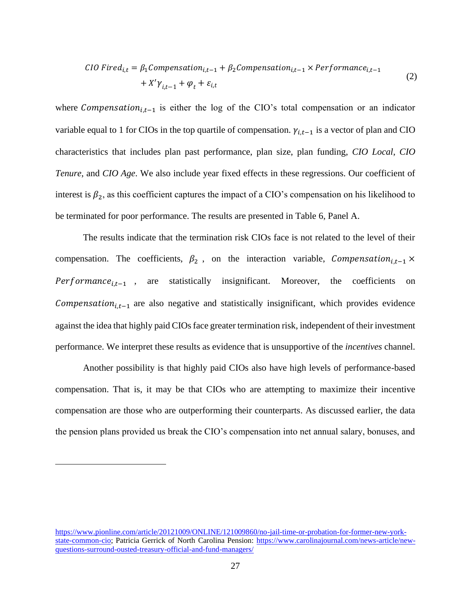CIO Fixed<sub>i,t</sub> = 
$$
\beta_1
$$
Comparison<sub>i,t-1</sub> +  $\beta_2$ Comparison<sub>i,t-1</sub> × Performance<sub>i,t-1</sub>  
+  $X'\gamma_{i,t-1} + \varphi_t + \varepsilon_{i,t}$  (2)

where Compensation<sub>i,t-1</sub> is either the log of the CIO's total compensation or an indicator variable equal to 1 for CIOs in the top quartile of compensation.  $\gamma_{i,t-1}$  is a vector of plan and CIO characteristics that includes plan past performance, plan size, plan funding, *CIO Local*, *CIO Tenure*, and *CIO Age*. We also include year fixed effects in these regressions. Our coefficient of interest is  $\beta_2$ , as this coefficient captures the impact of a CIO's compensation on his likelihood to be terminated for poor performance. The results are presented in Table 6, Panel A.

The results indicate that the termination risk CIOs face is not related to the level of their compensation. The coefficients,  $\beta_2$ , on the interaction variable, Compensation<sub>i,t-1</sub> ×  $Performance_{i,t-1}$ , are statistically insignificant. Moreover, the coefficients on Compensation<sub>i,t-1</sub> are also negative and statistically insignificant, which provides evidence against the idea that highly paid CIOs face greater termination risk, independent of their investment performance. We interpret these results as evidence that is unsupportive of the *incentives* channel.

Another possibility is that highly paid CIOs also have high levels of performance-based compensation. That is, it may be that CIOs who are attempting to maximize their incentive compensation are those who are outperforming their counterparts. As discussed earlier, the data the pension plans provided us break the CIO's compensation into net annual salary, bonuses, and

[https://www.pionline.com/article/20121009/ONLINE/121009860/no-jail-time-or-probation-for-former-new-york](https://www.pionline.com/article/20121009/ONLINE/121009860/no-jail-time-or-probation-for-former-new-york-state-common-cio)[state-common-cio;](https://www.pionline.com/article/20121009/ONLINE/121009860/no-jail-time-or-probation-for-former-new-york-state-common-cio) Patricia Gerrick of North Carolina Pension: [https://www.carolinajournal.com/news-article/new](https://www.carolinajournal.com/news-article/new-questions-surround-ousted-treasury-official-and-fund-managers/)[questions-surround-ousted-treasury-official-and-fund-managers/](https://www.carolinajournal.com/news-article/new-questions-surround-ousted-treasury-official-and-fund-managers/)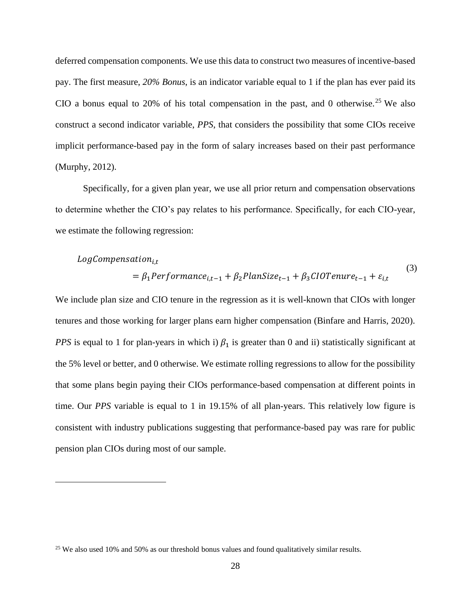deferred compensation components. We use this data to construct two measures of incentive-based pay. The first measure, *20% Bonus*, is an indicator variable equal to 1 if the plan has ever paid its CIO a bonus equal to 20% of his total compensation in the past, and 0 otherwise.<sup>25</sup> We also construct a second indicator variable, *PPS*, that considers the possibility that some CIOs receive implicit performance-based pay in the form of salary increases based on their past performance (Murphy, 2012).

Specifically, for a given plan year, we use all prior return and compensation observations to determine whether the CIO's pay relates to his performance. Specifically, for each CIO-year, we estimate the following regression:

# $LogCompensation_{i.t}$

$$
= \beta_1 Performance_{i,t-1} + \beta_2 PlanSize_{t-1} + \beta_3 ClOTenure_{t-1} + \varepsilon_{i,t}
$$
\n(3)

We include plan size and CIO tenure in the regression as it is well-known that CIOs with longer tenures and those working for larger plans earn higher compensation (Binfare and Harris, 2020). *PPS* is equal to 1 for plan-years in which i)  $\beta_1$  is greater than 0 and ii) statistically significant at the 5% level or better, and 0 otherwise. We estimate rolling regressions to allow for the possibility that some plans begin paying their CIOs performance-based compensation at different points in time. Our *PPS* variable is equal to 1 in 19.15% of all plan-years. This relatively low figure is consistent with industry publications suggesting that performance-based pay was rare for public pension plan CIOs during most of our sample.

<sup>&</sup>lt;sup>25</sup> We also used 10% and 50% as our threshold bonus values and found qualitatively similar results.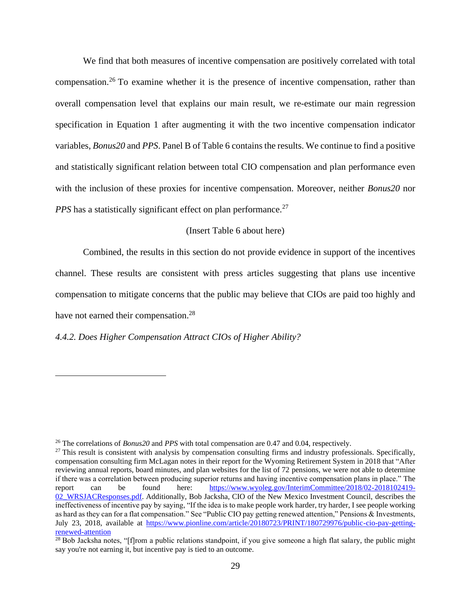We find that both measures of incentive compensation are positively correlated with total compensation.<sup>26</sup> To examine whether it is the presence of incentive compensation, rather than overall compensation level that explains our main result, we re-estimate our main regression specification in Equation 1 after augmenting it with the two incentive compensation indicator variables, *Bonus20* and *PPS*. Panel B of Table 6 contains the results. We continue to find a positive and statistically significant relation between total CIO compensation and plan performance even with the inclusion of these proxies for incentive compensation. Moreover, neither *Bonus20* nor *PPS* has a statistically significant effect on plan performance.<sup>27</sup>

## (Insert Table 6 about here)

Combined, the results in this section do not provide evidence in support of the incentives channel. These results are consistent with press articles suggesting that plans use incentive compensation to mitigate concerns that the public may believe that CIOs are paid too highly and have not earned their compensation.<sup>28</sup>

#### *4.4.2. Does Higher Compensation Attract CIOs of Higher Ability?*

<sup>26</sup> The correlations of *Bonus20* and *PPS* with total compensation are 0.47 and 0.04, respectively.

 $27$  This result is consistent with analysis by compensation consulting firms and industry professionals. Specifically, compensation consulting firm McLagan notes in their report for the Wyoming Retirement System in 2018 that "After reviewing annual reports, board minutes, and plan websites for the list of 72 pensions, we were not able to determine if there was a correlation between producing superior returns and having incentive compensation plans in place." The report can be found here: [https://www.wyoleg.gov/InterimCommittee/2018/02-2018102419-](https://www.wyoleg.gov/InterimCommittee/2018/02-2018102419-02_WRSJACResponses.pdf) 02 WRSJACResponses.pdf. Additionally, Bob Jacksha, CIO of the New Mexico Investment Council, describes the ineffectiveness of incentive pay by saying, "If the idea is to make people work harder, try harder, I see people working as hard as they can for a flat compensation." See "Public CIO pay getting renewed attention," Pensions & Investments, July 23, 2018, available at [https://www.pionline.com/article/20180723/PRINT/180729976/public-cio-pay-getting](https://www.pionline.com/article/20180723/PRINT/180729976/public-cio-pay-getting-renewed-attention)[renewed-attention](https://www.pionline.com/article/20180723/PRINT/180729976/public-cio-pay-getting-renewed-attention)

 $^{28}$  Bob Jacksha notes, "[f]rom a public relations standpoint, if you give someone a high flat salary, the public might say you're not earning it, but incentive pay is tied to an outcome.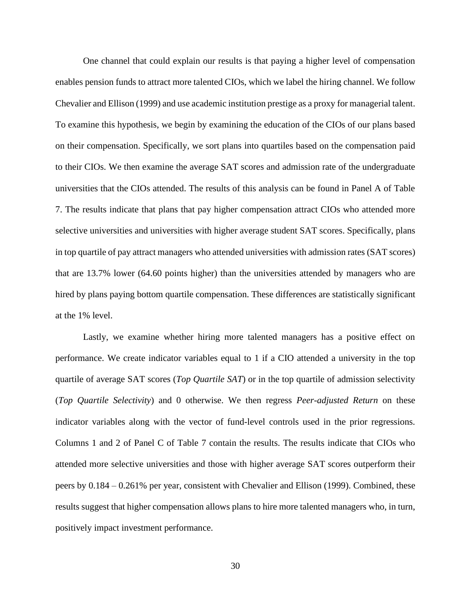One channel that could explain our results is that paying a higher level of compensation enables pension funds to attract more talented CIOs, which we label the hiring channel. We follow Chevalier and Ellison (1999) and use academic institution prestige as a proxy for managerial talent. To examine this hypothesis, we begin by examining the education of the CIOs of our plans based on their compensation. Specifically, we sort plans into quartiles based on the compensation paid to their CIOs. We then examine the average SAT scores and admission rate of the undergraduate universities that the CIOs attended. The results of this analysis can be found in Panel A of Table 7. The results indicate that plans that pay higher compensation attract CIOs who attended more selective universities and universities with higher average student SAT scores. Specifically, plans in top quartile of pay attract managers who attended universities with admission rates (SAT scores) that are 13.7% lower (64.60 points higher) than the universities attended by managers who are hired by plans paying bottom quartile compensation. These differences are statistically significant at the 1% level.

Lastly, we examine whether hiring more talented managers has a positive effect on performance. We create indicator variables equal to 1 if a CIO attended a university in the top quartile of average SAT scores (*Top Quartile SAT*) or in the top quartile of admission selectivity (*Top Quartile Selectivity*) and 0 otherwise. We then regress *Peer-adjusted Return* on these indicator variables along with the vector of fund-level controls used in the prior regressions. Columns 1 and 2 of Panel C of Table 7 contain the results. The results indicate that CIOs who attended more selective universities and those with higher average SAT scores outperform their peers by 0.184 – 0.261% per year, consistent with Chevalier and Ellison (1999). Combined, these results suggest that higher compensation allows plans to hire more talented managers who, in turn, positively impact investment performance.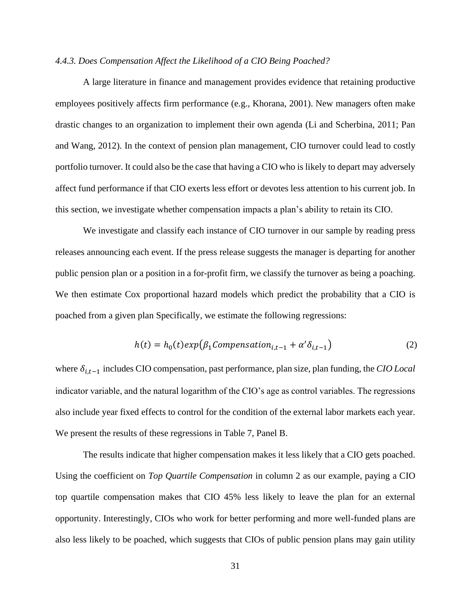### *4.4.3. Does Compensation Affect the Likelihood of a CIO Being Poached?*

A large literature in finance and management provides evidence that retaining productive employees positively affects firm performance (e.g., Khorana, 2001). New managers often make drastic changes to an organization to implement their own agenda (Li and Scherbina, 2011; Pan and Wang, 2012). In the context of pension plan management, CIO turnover could lead to costly portfolio turnover. It could also be the case that having a CIO who is likely to depart may adversely affect fund performance if that CIO exerts less effort or devotes less attention to his current job. In this section, we investigate whether compensation impacts a plan's ability to retain its CIO.

We investigate and classify each instance of CIO turnover in our sample by reading press releases announcing each event. If the press release suggests the manager is departing for another public pension plan or a position in a for-profit firm, we classify the turnover as being a poaching. We then estimate Cox proportional hazard models which predict the probability that a CIO is poached from a given plan Specifically, we estimate the following regressions:

$$
h(t) = h_0(t) exp(\beta_1 \text{Comparison}_{i,t-1} + \alpha' \delta_{i,t-1})
$$
\n(2)

where  $δ<sub>i,t−1</sub>$  includes CIO compensation, past performance, plan size, plan funding, the *CIO Local* indicator variable, and the natural logarithm of the CIO's age as control variables. The regressions also include year fixed effects to control for the condition of the external labor markets each year. We present the results of these regressions in Table 7, Panel B.

The results indicate that higher compensation makes it less likely that a CIO gets poached. Using the coefficient on *Top Quartile Compensation* in column 2 as our example, paying a CIO top quartile compensation makes that CIO 45% less likely to leave the plan for an external opportunity. Interestingly, CIOs who work for better performing and more well-funded plans are also less likely to be poached, which suggests that CIOs of public pension plans may gain utility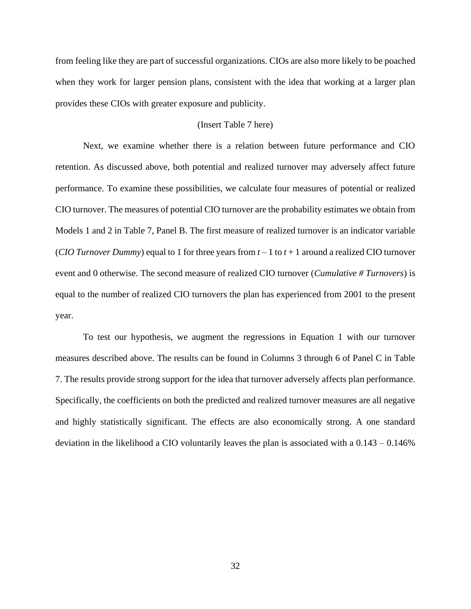from feeling like they are part of successful organizations. CIOs are also more likely to be poached when they work for larger pension plans, consistent with the idea that working at a larger plan provides these CIOs with greater exposure and publicity.

## (Insert Table 7 here)

Next, we examine whether there is a relation between future performance and CIO retention. As discussed above, both potential and realized turnover may adversely affect future performance. To examine these possibilities, we calculate four measures of potential or realized CIO turnover. The measures of potential CIO turnover are the probability estimates we obtain from Models 1 and 2 in Table 7, Panel B. The first measure of realized turnover is an indicator variable *(CIO Turnover Dummy)* equal to 1 for three years from  $t - 1$  to  $t + 1$  around a realized CIO turnover event and 0 otherwise. The second measure of realized CIO turnover (*Cumulative # Turnovers*) is equal to the number of realized CIO turnovers the plan has experienced from 2001 to the present year.

To test our hypothesis, we augment the regressions in Equation 1 with our turnover measures described above. The results can be found in Columns 3 through 6 of Panel C in Table 7. The results provide strong support for the idea that turnover adversely affects plan performance. Specifically, the coefficients on both the predicted and realized turnover measures are all negative and highly statistically significant. The effects are also economically strong. A one standard deviation in the likelihood a CIO voluntarily leaves the plan is associated with a 0.143 – 0.146%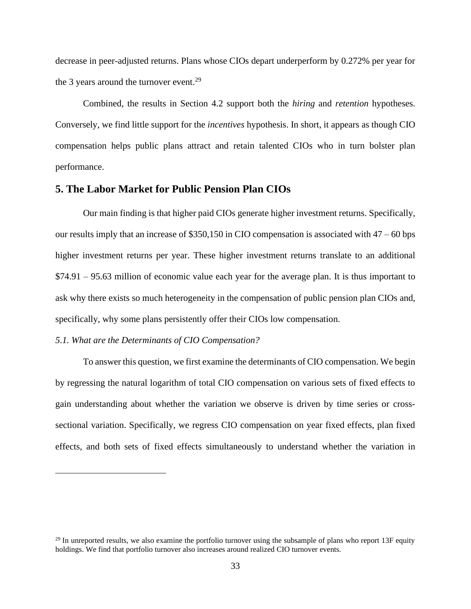decrease in peer-adjusted returns. Plans whose CIOs depart underperform by 0.272% per year for the 3 years around the turnover event.<sup>29</sup>

Combined, the results in Section 4.2 support both the *hiring* and *retention* hypotheses. Conversely, we find little support for the *incentives* hypothesis. In short, it appears as though CIO compensation helps public plans attract and retain talented CIOs who in turn bolster plan performance.

## **5. The Labor Market for Public Pension Plan CIOs**

Our main finding is that higher paid CIOs generate higher investment returns. Specifically, our results imply that an increase of \$350,150 in CIO compensation is associated with 47 – 60 bps higher investment returns per year. These higher investment returns translate to an additional \$74.91 – 95.63 million of economic value each year for the average plan. It is thus important to ask why there exists so much heterogeneity in the compensation of public pension plan CIOs and, specifically, why some plans persistently offer their CIOs low compensation.

### *5.1. What are the Determinants of CIO Compensation?*

To answer this question, we first examine the determinants of CIO compensation. We begin by regressing the natural logarithm of total CIO compensation on various sets of fixed effects to gain understanding about whether the variation we observe is driven by time series or crosssectional variation. Specifically, we regress CIO compensation on year fixed effects, plan fixed effects, and both sets of fixed effects simultaneously to understand whether the variation in

 $29$  In unreported results, we also examine the portfolio turnover using the subsample of plans who report 13F equity holdings. We find that portfolio turnover also increases around realized CIO turnover events.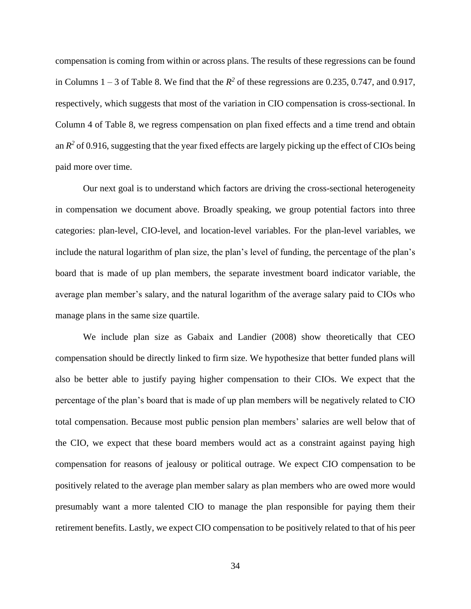compensation is coming from within or across plans. The results of these regressions can be found in Columns  $1 - 3$  of Table 8. We find that the  $R^2$  of these regressions are 0.235, 0.747, and 0.917, respectively, which suggests that most of the variation in CIO compensation is cross-sectional. In Column 4 of Table 8, we regress compensation on plan fixed effects and a time trend and obtain an  $R^2$  of 0.916, suggesting that the year fixed effects are largely picking up the effect of CIOs being paid more over time.

Our next goal is to understand which factors are driving the cross-sectional heterogeneity in compensation we document above. Broadly speaking, we group potential factors into three categories: plan-level, CIO-level, and location-level variables. For the plan-level variables, we include the natural logarithm of plan size, the plan's level of funding, the percentage of the plan's board that is made of up plan members, the separate investment board indicator variable, the average plan member's salary, and the natural logarithm of the average salary paid to CIOs who manage plans in the same size quartile.

We include plan size as Gabaix and Landier (2008) show theoretically that CEO compensation should be directly linked to firm size. We hypothesize that better funded plans will also be better able to justify paying higher compensation to their CIOs. We expect that the percentage of the plan's board that is made of up plan members will be negatively related to CIO total compensation. Because most public pension plan members' salaries are well below that of the CIO, we expect that these board members would act as a constraint against paying high compensation for reasons of jealousy or political outrage. We expect CIO compensation to be positively related to the average plan member salary as plan members who are owed more would presumably want a more talented CIO to manage the plan responsible for paying them their retirement benefits. Lastly, we expect CIO compensation to be positively related to that of his peer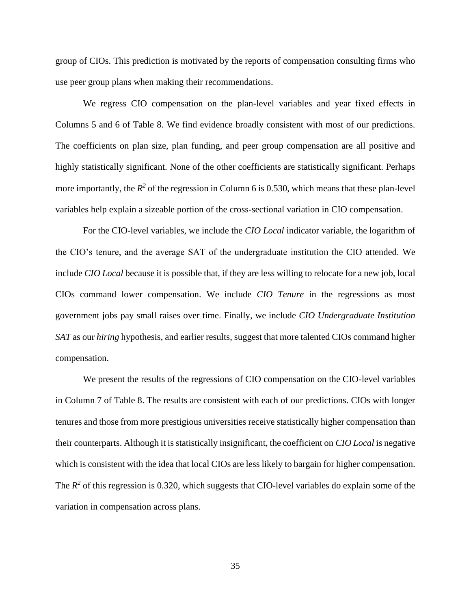group of CIOs. This prediction is motivated by the reports of compensation consulting firms who use peer group plans when making their recommendations.

We regress CIO compensation on the plan-level variables and year fixed effects in Columns 5 and 6 of Table 8. We find evidence broadly consistent with most of our predictions. The coefficients on plan size, plan funding, and peer group compensation are all positive and highly statistically significant. None of the other coefficients are statistically significant. Perhaps more importantly, the  $R^2$  of the regression in Column 6 is 0.530, which means that these plan-level variables help explain a sizeable portion of the cross-sectional variation in CIO compensation.

For the CIO-level variables, we include the *CIO Local* indicator variable, the logarithm of the CIO's tenure, and the average SAT of the undergraduate institution the CIO attended. We include *CIO Local* because it is possible that, if they are less willing to relocate for a new job, local CIOs command lower compensation. We include *CIO Tenure* in the regressions as most government jobs pay small raises over time. Finally, we include *CIO Undergraduate Institution SAT* as our *hiring* hypothesis, and earlier results, suggest that more talented CIOs command higher compensation.

We present the results of the regressions of CIO compensation on the CIO-level variables in Column 7 of Table 8. The results are consistent with each of our predictions. CIOs with longer tenures and those from more prestigious universities receive statistically higher compensation than their counterparts. Although it is statistically insignificant, the coefficient on *CIO Local* is negative which is consistent with the idea that local CIOs are less likely to bargain for higher compensation. The  $R^2$  of this regression is 0.320, which suggests that CIO-level variables do explain some of the variation in compensation across plans.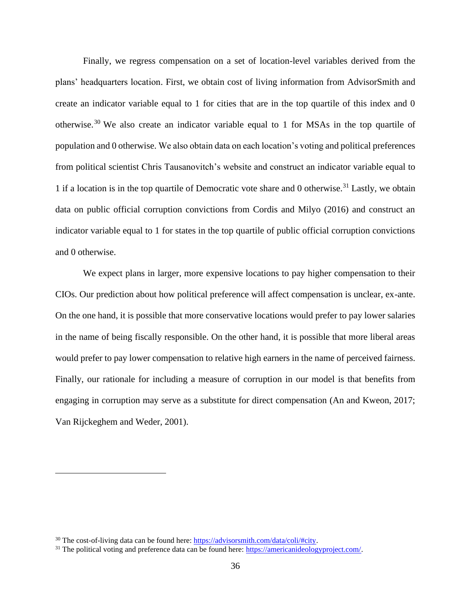Finally, we regress compensation on a set of location-level variables derived from the plans' headquarters location. First, we obtain cost of living information from AdvisorSmith and create an indicator variable equal to 1 for cities that are in the top quartile of this index and 0 otherwise.<sup>30</sup> We also create an indicator variable equal to 1 for MSAs in the top quartile of population and 0 otherwise. We also obtain data on each location's voting and political preferences from political scientist Chris Tausanovitch's website and construct an indicator variable equal to 1 if a location is in the top quartile of Democratic vote share and 0 otherwise.<sup>31</sup> Lastly, we obtain data on public official corruption convictions from Cordis and Milyo (2016) and construct an indicator variable equal to 1 for states in the top quartile of public official corruption convictions and 0 otherwise.

We expect plans in larger, more expensive locations to pay higher compensation to their CIOs. Our prediction about how political preference will affect compensation is unclear, ex-ante. On the one hand, it is possible that more conservative locations would prefer to pay lower salaries in the name of being fiscally responsible. On the other hand, it is possible that more liberal areas would prefer to pay lower compensation to relative high earners in the name of perceived fairness. Finally, our rationale for including a measure of corruption in our model is that benefits from engaging in corruption may serve as a substitute for direct compensation (An and Kweon, 2017; Van Rijckeghem and Weder, 2001).

<sup>&</sup>lt;sup>30</sup> The cost-of-living data can be found here: [https://advisorsmith.com/data/coli/#city.](https://advisorsmith.com/data/coli/#city)

<sup>&</sup>lt;sup>31</sup> The political voting and preference data can be found here: [https://americanideologyproject.com/.](https://americanideologyproject.com/)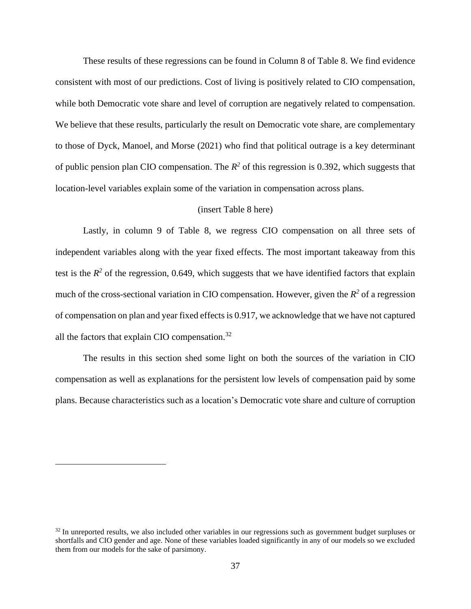These results of these regressions can be found in Column 8 of Table 8. We find evidence consistent with most of our predictions. Cost of living is positively related to CIO compensation, while both Democratic vote share and level of corruption are negatively related to compensation. We believe that these results, particularly the result on Democratic vote share, are complementary to those of Dyck, Manoel, and Morse (2021) who find that political outrage is a key determinant of public pension plan CIO compensation. The  $R^2$  of this regression is 0.392, which suggests that location-level variables explain some of the variation in compensation across plans.

#### (insert Table 8 here)

Lastly, in column 9 of Table 8, we regress CIO compensation on all three sets of independent variables along with the year fixed effects. The most important takeaway from this test is the  $R^2$  of the regression, 0.649, which suggests that we have identified factors that explain much of the cross-sectional variation in CIO compensation. However, given the  $R^2$  of a regression of compensation on plan and year fixed effects is 0.917, we acknowledge that we have not captured all the factors that explain CIO compensation.<sup>32</sup>

The results in this section shed some light on both the sources of the variation in CIO compensation as well as explanations for the persistent low levels of compensation paid by some plans. Because characteristics such as a location's Democratic vote share and culture of corruption

 $32$  In unreported results, we also included other variables in our regressions such as government budget surpluses or shortfalls and CIO gender and age. None of these variables loaded significantly in any of our models so we excluded them from our models for the sake of parsimony.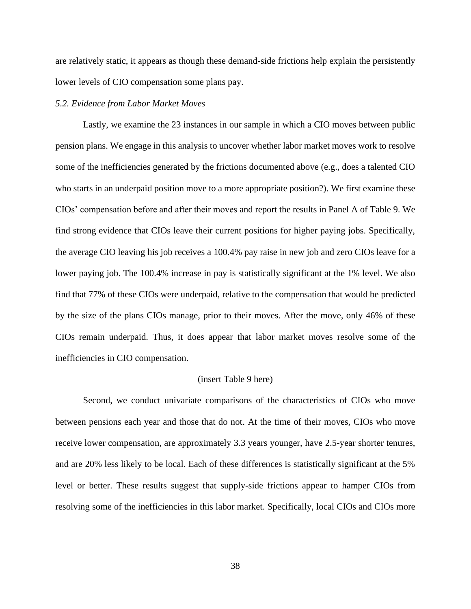are relatively static, it appears as though these demand-side frictions help explain the persistently lower levels of CIO compensation some plans pay.

### *5.2. Evidence from Labor Market Moves*

Lastly, we examine the 23 instances in our sample in which a CIO moves between public pension plans. We engage in this analysis to uncover whether labor market moves work to resolve some of the inefficiencies generated by the frictions documented above (e.g., does a talented CIO who starts in an underpaid position move to a more appropriate position?). We first examine these CIOs' compensation before and after their moves and report the results in Panel A of Table 9. We find strong evidence that CIOs leave their current positions for higher paying jobs. Specifically, the average CIO leaving his job receives a 100.4% pay raise in new job and zero CIOs leave for a lower paying job. The 100.4% increase in pay is statistically significant at the 1% level. We also find that 77% of these CIOs were underpaid, relative to the compensation that would be predicted by the size of the plans CIOs manage, prior to their moves. After the move, only 46% of these CIOs remain underpaid. Thus, it does appear that labor market moves resolve some of the inefficiencies in CIO compensation.

#### (insert Table 9 here)

Second, we conduct univariate comparisons of the characteristics of CIOs who move between pensions each year and those that do not. At the time of their moves, CIOs who move receive lower compensation, are approximately 3.3 years younger, have 2.5-year shorter tenures, and are 20% less likely to be local. Each of these differences is statistically significant at the 5% level or better. These results suggest that supply-side frictions appear to hamper CIOs from resolving some of the inefficiencies in this labor market. Specifically, local CIOs and CIOs more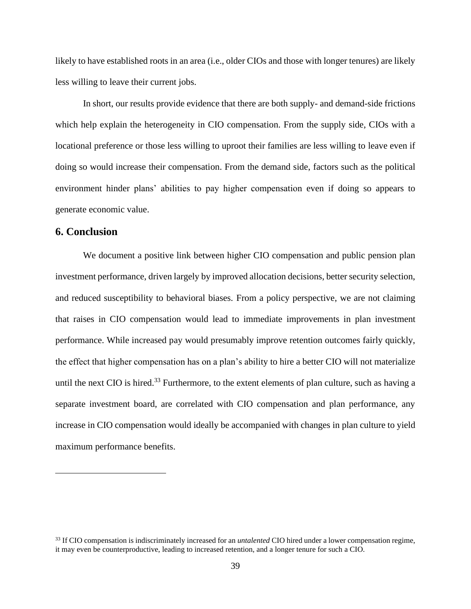likely to have established roots in an area (i.e., older CIOs and those with longer tenures) are likely less willing to leave their current jobs.

In short, our results provide evidence that there are both supply- and demand-side frictions which help explain the heterogeneity in CIO compensation. From the supply side, CIOs with a locational preference or those less willing to uproot their families are less willing to leave even if doing so would increase their compensation. From the demand side, factors such as the political environment hinder plans' abilities to pay higher compensation even if doing so appears to generate economic value.

## **6. Conclusion**

We document a positive link between higher CIO compensation and public pension plan investment performance, driven largely by improved allocation decisions, better security selection, and reduced susceptibility to behavioral biases. From a policy perspective, we are not claiming that raises in CIO compensation would lead to immediate improvements in plan investment performance. While increased pay would presumably improve retention outcomes fairly quickly, the effect that higher compensation has on a plan's ability to hire a better CIO will not materialize until the next CIO is hired.<sup>33</sup> Furthermore, to the extent elements of plan culture, such as having a separate investment board, are correlated with CIO compensation and plan performance, any increase in CIO compensation would ideally be accompanied with changes in plan culture to yield maximum performance benefits.

<sup>33</sup> If CIO compensation is indiscriminately increased for an *untalented* CIO hired under a lower compensation regime, it may even be counterproductive, leading to increased retention, and a longer tenure for such a CIO.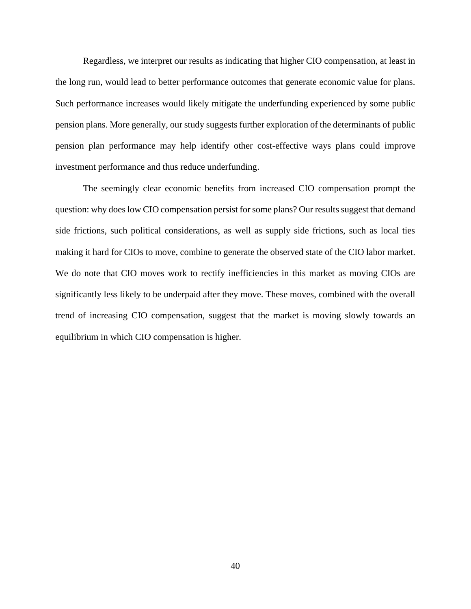Regardless, we interpret our results as indicating that higher CIO compensation, at least in the long run, would lead to better performance outcomes that generate economic value for plans. Such performance increases would likely mitigate the underfunding experienced by some public pension plans. More generally, our study suggests further exploration of the determinants of public pension plan performance may help identify other cost-effective ways plans could improve investment performance and thus reduce underfunding.

The seemingly clear economic benefits from increased CIO compensation prompt the question: why does low CIO compensation persist for some plans? Our results suggest that demand side frictions, such political considerations, as well as supply side frictions, such as local ties making it hard for CIOs to move, combine to generate the observed state of the CIO labor market. We do note that CIO moves work to rectify inefficiencies in this market as moving CIOs are significantly less likely to be underpaid after they move. These moves, combined with the overall trend of increasing CIO compensation, suggest that the market is moving slowly towards an equilibrium in which CIO compensation is higher.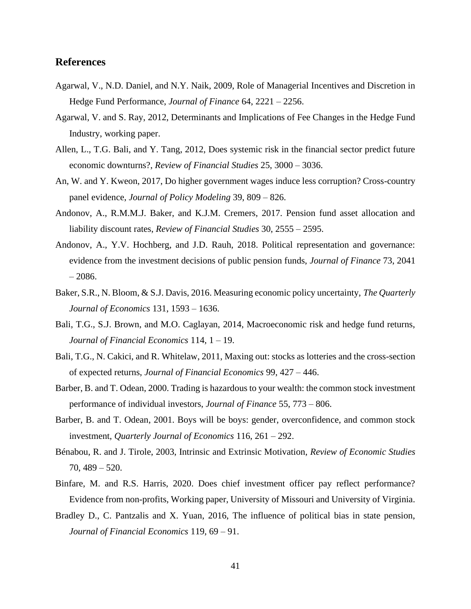## **References**

- Agarwal, V., N.D. Daniel, and N.Y. Naik, 2009, Role of Managerial Incentives and Discretion in Hedge Fund Performance, *Journal of Finance* 64, 2221 – 2256.
- Agarwal, V. and S. Ray, 2012, Determinants and Implications of Fee Changes in the Hedge Fund Industry, working paper.
- Allen, L., T.G. Bali, and Y. Tang, 2012, Does systemic risk in the financial sector predict future economic downturns?, *Review of Financial Studies* 25, 3000 – 3036.
- An, W. and Y. Kweon, 2017, Do higher government wages induce less corruption? Cross-country panel evidence, *Journal of Policy Modeling* 39, 809 – 826.
- Andonov, A., R.M.M.J. Baker, and K.J.M. Cremers, 2017. Pension fund asset allocation and liability discount rates, *Review of Financial Studies* 30, 2555 – 2595.
- Andonov, A., Y.V. Hochberg, and J.D. Rauh, 2018. Political representation and governance: evidence from the investment decisions of public pension funds, *Journal of Finance* 73, 2041 – 2086.
- Baker, S.R., N. Bloom, & S.J. Davis, 2016. Measuring economic policy uncertainty, *The Quarterly Journal of Economics* 131, 1593 – 1636.
- Bali, T.G., S.J. Brown, and M.O. Caglayan, 2014, Macroeconomic risk and hedge fund returns, *Journal of Financial Economics* 114, 1 – 19.
- Bali, T.G., N. Cakici, and R. Whitelaw, 2011, Maxing out: stocks as lotteries and the cross-section of expected returns, *Journal of Financial Economics* 99, 427 – 446.
- Barber, B. and T. Odean, 2000. Trading is hazardous to your wealth: the common stock investment performance of individual investors, *Journal of Finance* 55, 773 – 806.
- Barber, B. and T. Odean, 2001. Boys will be boys: gender, overconfidence, and common stock investment, *Quarterly Journal of Economics* 116, 261 – 292.
- Bénabou, R. and J. Tirole, 2003, Intrinsic and Extrinsic Motivation, *Review of Economic Studies* 70, 489 – 520.
- Binfare, M. and R.S. Harris, 2020. Does chief investment officer pay reflect performance? Evidence from non-profits, Working paper, University of Missouri and University of Virginia.
- Bradley D., C. Pantzalis and X. Yuan, 2016, The influence of political bias in state pension, *Journal of Financial Economics* 119, 69 – 91.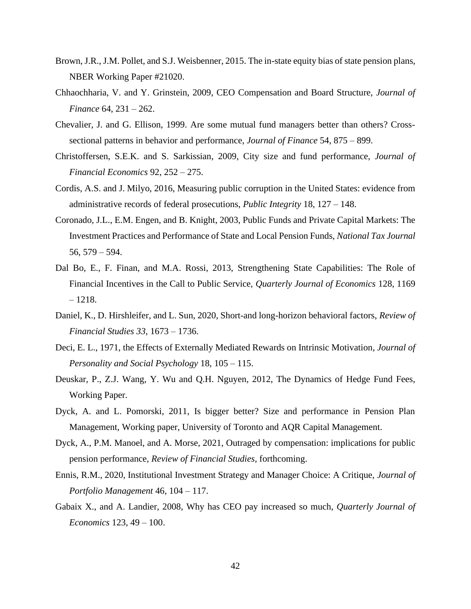- Brown, J.R., J.M. Pollet, and S.J. Weisbenner, 2015. The in-state equity bias of state pension plans, NBER Working Paper #21020.
- Chhaochharia, V. and Y. Grinstein, 2009, CEO Compensation and Board Structure, *Journal of Finance* 64, 231 – 262.
- Chevalier, J. and G. Ellison, 1999. Are some mutual fund managers better than others? Crosssectional patterns in behavior and performance, *Journal of Finance* 54, 875 – 899.
- Christoffersen, S.E.K. and S. Sarkissian, 2009, City size and fund performance, *Journal of Financial Economics* 92, 252 – 275.
- Cordis, A.S. and J. Milyo, 2016, Measuring public corruption in the United States: evidence from administrative records of federal prosecutions, *Public Integrity* 18, 127 – 148.
- Coronado, J.L., E.M. Engen, and B. Knight, 2003, Public Funds and Private Capital Markets: The Investment Practices and Performance of State and Local Pension Funds, *National Tax Journal* 56, 579 – 594.
- Dal Bo, E., F. Finan, and M.A. Rossi, 2013, Strengthening State Capabilities: The Role of Financial Incentives in the Call to Public Service, *Quarterly Journal of Economics* 128, 1169 – 1218.
- Daniel, K., D. Hirshleifer, and L. Sun, 2020, Short-and long-horizon behavioral factors, *Review of Financial Studies 33*, 1673 – 1736.
- Deci, E. L., 1971, the Effects of Externally Mediated Rewards on Intrinsic Motivation, *Journal of Personality and Social Psychology* 18, 105 – 115.
- Deuskar, P., Z.J. Wang, Y. Wu and Q.H. Nguyen, 2012, The Dynamics of Hedge Fund Fees, Working Paper.
- Dyck, A. and L. Pomorski, 2011, Is bigger better? Size and performance in Pension Plan Management, Working paper, University of Toronto and AQR Capital Management.
- Dyck, A., P.M. Manoel, and A. Morse, 2021, Outraged by compensation: implications for public pension performance, *Review of Financial Studies*, forthcoming.
- Ennis, R.M., 2020, Institutional Investment Strategy and Manager Choice: A Critique, *Journal of Portfolio Management* 46, 104 – 117.
- Gabaix X., and A. Landier, 2008, Why has CEO pay increased so much, *Quarterly Journal of Economics* 123, 49 – 100.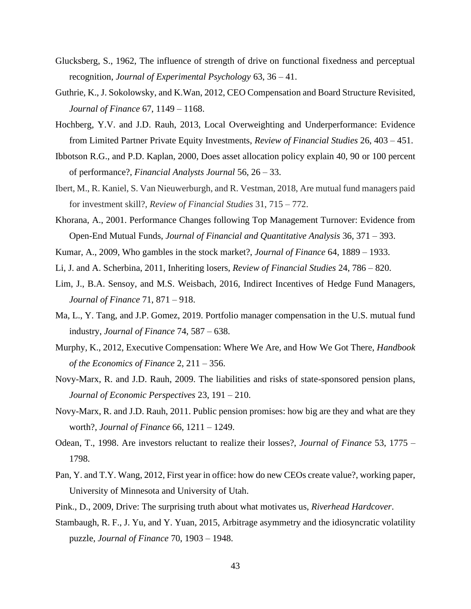- Glucksberg, S., 1962, The influence of strength of drive on functional fixedness and perceptual recognition, *Journal of Experimental Psychology* 63, 36 – 41.
- Guthrie, K., J. Sokolowsky, and K.Wan, 2012, CEO Compensation and Board Structure Revisited, *Journal of Finance* 67, 1149 – 1168.
- Hochberg, Y.V. and J.D. Rauh, 2013, Local Overweighting and Underperformance: Evidence from Limited Partner Private Equity Investments, *Review of Financial Studies* 26, 403 – 451.
- Ibbotson R.G., and P.D. Kaplan, 2000, Does asset allocation policy explain 40, 90 or 100 percent of performance?, *Financial Analysts Journal* 56, 26 – 33.
- Ibert, M., R. Kaniel, S. Van Nieuwerburgh, and R. Vestman, 2018, Are mutual fund managers paid for investment skill?, *Review of Financial Studies* 31, 715 – 772.
- Khorana, A., 2001. Performance Changes following Top Management Turnover: Evidence from Open-End Mutual Funds, *Journal of Financial and Quantitative Analysis* 36, 371 – 393.
- Kumar, A., 2009, Who gambles in the stock market?, *Journal of Finance* 64, 1889 1933.
- Li, J. and A. Scherbina, 2011, Inheriting losers, *Review of Financial Studies* 24, 786 820.
- Lim, J., B.A. Sensoy, and M.S. Weisbach, 2016, Indirect Incentives of Hedge Fund Managers, *Journal of Finance* 71, 871 – 918.
- Ma, L., Y. Tang, and J.P. Gomez, 2019. Portfolio manager compensation in the U.S. mutual fund industry, *Journal of Finance* 74, 587 – 638.
- Murphy, K., 2012, Executive Compensation: Where We Are, and How We Got There, *Handbook of the Economics of Finance* 2, 211 – 356.
- Novy-Marx, R. and J.D. Rauh, 2009. The liabilities and risks of state-sponsored pension plans, *Journal of Economic Perspectives* 23, 191 – 210.
- Novy-Marx, R. and J.D. Rauh, 2011. Public pension promises: how big are they and what are they worth?, *Journal of Finance* 66, 1211 – 1249.
- Odean, T., 1998. Are investors reluctant to realize their losses?, *Journal of Finance* 53, 1775 1798.
- Pan, Y. and T.Y. Wang, 2012, First year in office: how do new CEOs create value?, working paper, University of Minnesota and University of Utah.
- Pink., D., 2009, Drive: The surprising truth about what motivates us, *Riverhead Hardcover*.
- Stambaugh, R. F., J. Yu, and Y. Yuan, 2015, Arbitrage asymmetry and the idiosyncratic volatility puzzle, *Journal of Finance* 70, 1903 – 1948.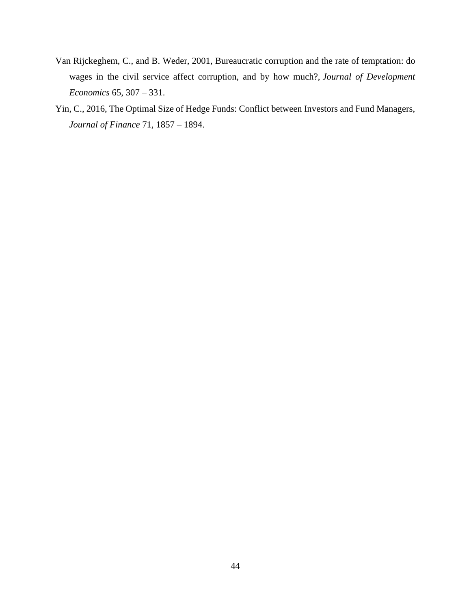- Van Rijckeghem, C., and B. Weder, 2001, Bureaucratic corruption and the rate of temptation: do wages in the civil service affect corruption, and by how much?, *Journal of Development Economics* 65, 307 – 331.
- Yin, C., 2016, The Optimal Size of Hedge Funds: Conflict between Investors and Fund Managers, *Journal of Finance* 71, 1857 – 1894.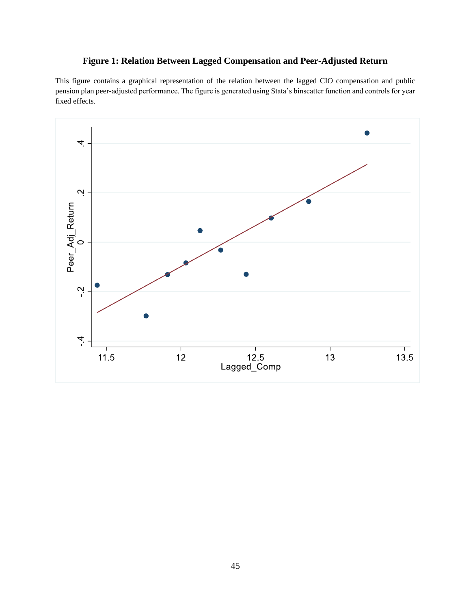# **Figure 1: Relation Between Lagged Compensation and Peer-Adjusted Return**

This figure contains a graphical representation of the relation between the lagged CIO compensation and public pension plan peer-adjusted performance. The figure is generated using Stata's binscatter function and controls for year fixed effects.

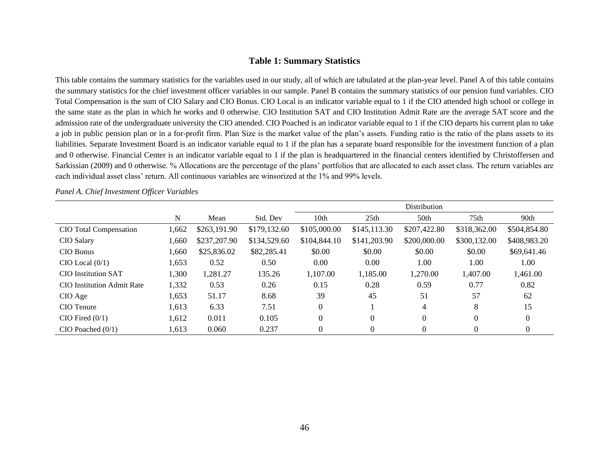#### **Table 1: Summary Statistics**

This table contains the summary statistics for the variables used in our study, all of which are tabulated at the plan-year level. Panel A of this table contains the summary statistics for the chief investment officer variables in our sample. Panel B contains the summary statistics of our pension fund variables. CIO Total Compensation is the sum of CIO Salary and CIO Bonus. CIO Local is an indicator variable equal to 1 if the CIO attended high school or college in the same state as the plan in which he works and 0 otherwise. CIO Institution SAT and CIO Institution Admit Rate are the average SAT score and the admission rate of the undergraduate university the CIO attended. CIO Poached is an indicator variable equal to 1 if the CIO departs his current plan to take a job in public pension plan or in a for-profit firm. Plan Size is the market value of the plan's assets. Funding ratio is the ratio of the plans assets to its liabilities. Separate Investment Board is an indicator variable equal to 1 if the plan has a separate board responsible for the investment function of a plan and 0 otherwise. Financial Center is an indicator variable equal to 1 if the plan is headquartered in the financial centers identified by Christoffersen and Sarkissian (2009) and 0 otherwise. % Allocations are the percentage of the plans' portfolios that are allocated to each asset class. The return variables are each individual asset class' return. All continuous variables are winsorized at the 1% and 99% levels.

|                                   |       |              |              |                  |                  | <b>Distribution</b> |              |              |
|-----------------------------------|-------|--------------|--------------|------------------|------------------|---------------------|--------------|--------------|
|                                   | N     | Mean         | Std. Dev     | 10 <sub>th</sub> | 25 <sub>th</sub> | 50th                | 75th         | 90th         |
| CIO Total Compensation            | 1,662 | \$263,191.90 | \$179,132.60 | \$105,000.00     | \$145,113.30     | \$207,422.80        | \$318,362.00 | \$504,854.80 |
| CIO Salary                        | 1,660 | \$237,207.90 | \$134,529.60 | \$104,844.10     | \$141,203.90     | \$200,000.00        | \$300,132.00 | \$408,983.20 |
| CIO Bonus                         | 1,660 | \$25,836.02  | \$82,285.41  | \$0.00           | \$0.00           | \$0.00              | \$0.00       | \$69,641.46  |
| $CIO$ Local $(0/1)$               | 1,653 | 0.52         | 0.50         | 0.00             | 0.00             | 1.00                | 1.00         | 1.00         |
| <b>CIO</b> Institution SAT        | 1,300 | 1,281.27     | 135.26       | 1,107.00         | 1,185.00         | 1,270.00            | 1,407.00     | 1,461.00     |
| <b>CIO</b> Institution Admit Rate | 1,332 | 0.53         | 0.26         | 0.15             | 0.28             | 0.59                | 0.77         | 0.82         |
| CIO Age                           | 1,653 | 51.17        | 8.68         | 39               | 45               | 51                  | 57           | 62           |
| CIO Tenure                        | 1,613 | 6.33         | 7.51         | $\overline{0}$   |                  | $\overline{4}$      | 8            | 15           |
| $CIO$ Fired $(0/1)$               | 1,612 | 0.011        | 0.105        | $\Omega$         | $\theta$         | $\theta$            | 0            | $\Omega$     |
| $CIO$ Poached $(0/1)$             | 1,613 | 0.060        | 0.237        | $\overline{0}$   | $\Omega$         | $\Omega$            | 0            | 0            |

*Panel A. Chief Investment Officer Variables*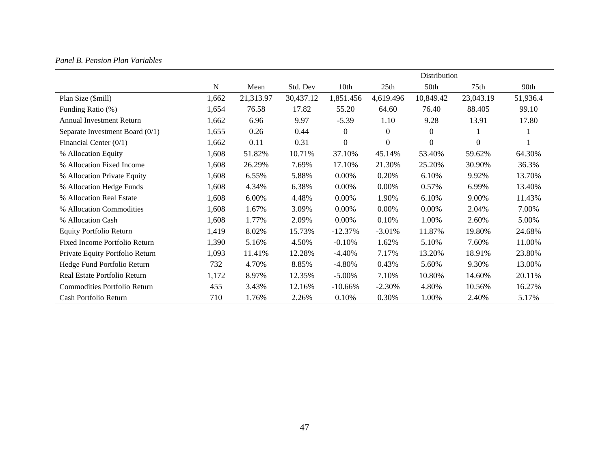## *Panel B. Pension Plan Variables*

|                                 |       |           |           |                  |              | Distribution |           |          |
|---------------------------------|-------|-----------|-----------|------------------|--------------|--------------|-----------|----------|
|                                 | N     | Mean      | Std. Dev  | 10th             | 25th         | 50th         | 75th      | 90th     |
| Plan Size (\$mill)              | 1,662 | 21,313.97 | 30,437.12 | 1,851.456        | 4,619.496    | 10,849.42    | 23,043.19 | 51,936.4 |
| Funding Ratio (%)               | 1,654 | 76.58     | 17.82     | 55.20            | 64.60        | 76.40        | 88.405    | 99.10    |
| <b>Annual Investment Return</b> | 1,662 | 6.96      | 9.97      | $-5.39$          | 1.10         | 9.28         | 13.91     | 17.80    |
| Separate Investment Board (0/1) | 1,655 | 0.26      | 0.44      | $\boldsymbol{0}$ | $\mathbf{0}$ | $\theta$     |           |          |
| Financial Center $(0/1)$        | 1,662 | 0.11      | 0.31      | $\boldsymbol{0}$ | $\theta$     | $\Omega$     | 0         |          |
| % Allocation Equity             | 1,608 | 51.82%    | 10.71%    | 37.10%           | 45.14%       | 53.40%       | 59.62%    | 64.30%   |
| % Allocation Fixed Income       | 1,608 | 26.29%    | 7.69%     | 17.10%           | 21.30%       | 25.20%       | 30.90%    | 36.3%    |
| % Allocation Private Equity     | 1,608 | 6.55%     | 5.88%     | 0.00%            | 0.20%        | 6.10%        | 9.92%     | 13.70%   |
| % Allocation Hedge Funds        | 1,608 | 4.34%     | 6.38%     | 0.00%            | 0.00%        | 0.57%        | 6.99%     | 13.40%   |
| % Allocation Real Estate        | 1,608 | 6.00%     | 4.48%     | 0.00%            | 1.90%        | 6.10%        | 9.00%     | 11.43%   |
| % Allocation Commodities        | 1,608 | 1.67%     | 3.09%     | 0.00%            | $0.00\%$     | 0.00%        | 2.04%     | 7.00%    |
| % Allocation Cash               | 1,608 | 1.77%     | 2.09%     | 0.00%            | 0.10%        | 1.00%        | 2.60%     | 5.00%    |
| <b>Equity Portfolio Return</b>  | 1,419 | 8.02%     | 15.73%    | $-12.37%$        | $-3.01%$     | 11.87%       | 19.80%    | 24.68%   |
| Fixed Income Portfolio Return   | 1,390 | 5.16%     | 4.50%     | $-0.10%$         | 1.62%        | 5.10%        | 7.60%     | 11.00%   |
| Private Equity Portfolio Return | 1,093 | 11.41%    | 12.28%    | $-4.40%$         | 7.17%        | 13.20%       | 18.91%    | 23.80%   |
| Hedge Fund Portfolio Return     | 732   | 4.70%     | 8.85%     | $-4.80\%$        | 0.43%        | 5.60%        | 9.30%     | 13.00%   |
| Real Estate Portfolio Return    | 1,172 | 8.97%     | 12.35%    | $-5.00\%$        | 7.10%        | 10.80%       | 14.60%    | 20.11%   |
| Commodities Portfolio Return    | 455   | 3.43%     | 12.16%    | $-10.66%$        | $-2.30%$     | 4.80%        | 10.56%    | 16.27%   |
| Cash Portfolio Return           | 710   | 1.76%     | 2.26%     | 0.10%            | 0.30%        | 1.00%        | 2.40%     | 5.17%    |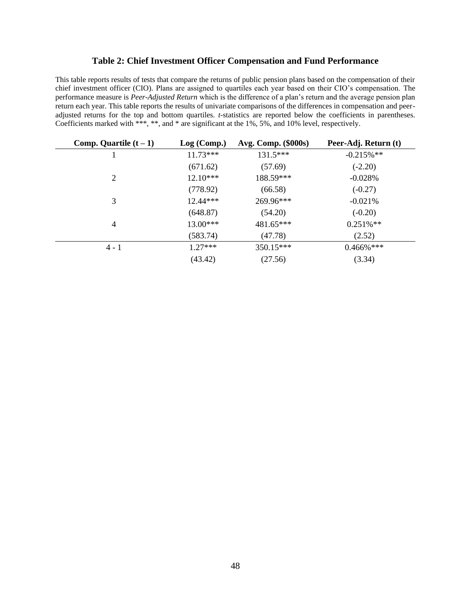#### **Table 2: Chief Investment Officer Compensation and Fund Performance**

This table reports results of tests that compare the returns of public pension plans based on the compensation of their chief investment officer (CIO). Plans are assigned to quartiles each year based on their CIO's compensation. The performance measure is *Peer-Adjusted Return* which is the difference of a plan's return and the average pension plan return each year. This table reports the results of univariate comparisons of the differences in compensation and peeradjusted returns for the top and bottom quartiles. *t*-statistics are reported below the coefficients in parentheses. Coefficients marked with \*\*\*, \*\*, and \* are significant at the 1%, 5%, and 10% level, respectively.

| Comp. Quartile $(t-1)$ | Log (Comp.) | Avg. Comp. (\$000s) | Peer-Adj. Return (t) |
|------------------------|-------------|---------------------|----------------------|
| 1                      | $11.73***$  | $131.5***$          | $-0.215\%$ **        |
|                        | (671.62)    | (57.69)             | $(-2.20)$            |
| 2                      | $12.10***$  | 188.59***           | $-0.028%$            |
|                        | (778.92)    | (66.58)             | $(-0.27)$            |
| 3                      | 12.44***    | 269.96***           | $-0.021%$            |
|                        | (648.87)    | (54.20)             | $(-0.20)$            |
| 4                      | $13.00***$  | 481.65***           | $0.251\%**$          |
|                        | (583.74)    | (47.78)             | (2.52)               |
| $4 - 1$                | $1.27***$   | 350.15***           | $0.466\%$ ***        |
|                        | (43.42)     | (27.56)             | (3.34)               |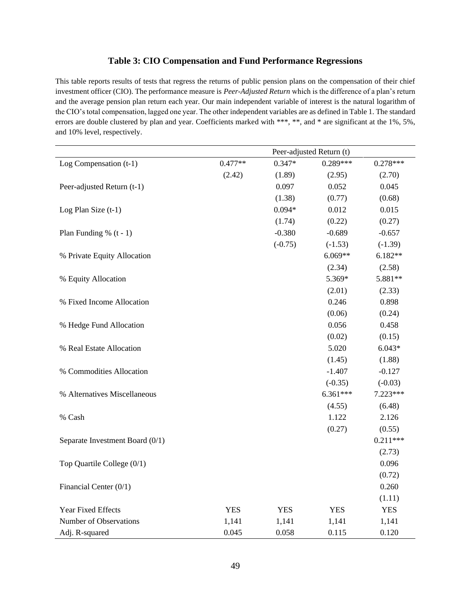### **Table 3: CIO Compensation and Fund Performance Regressions**

This table reports results of tests that regress the returns of public pension plans on the compensation of their chief investment officer (CIO). The performance measure is *Peer-Adjusted Return* which is the difference of a plan's return and the average pension plan return each year. Our main independent variable of interest is the natural logarithm of the CIO's total compensation, lagged one year. The other independent variables are as defined in Table 1. The standard errors are double clustered by plan and year. Coefficients marked with \*\*\*, \*\*, and \* are significant at the 1%, 5%, and 10% level, respectively.

|                                 |            |            | Peer-adjusted Return (t) |            |
|---------------------------------|------------|------------|--------------------------|------------|
| Log Compensation (t-1)          | $0.477**$  | $0.347*$   | $0.289***$               | $0.278***$ |
|                                 | (2.42)     | (1.89)     | (2.95)                   | (2.70)     |
| Peer-adjusted Return (t-1)      |            | 0.097      | 0.052                    | 0.045      |
|                                 |            | (1.38)     | (0.77)                   | (0.68)     |
| Log Plan Size (t-1)             |            | $0.094*$   | 0.012                    | 0.015      |
|                                 |            | (1.74)     | (0.22)                   | (0.27)     |
| Plan Funding % $(t - 1)$        |            | $-0.380$   | $-0.689$                 | $-0.657$   |
|                                 |            | $(-0.75)$  | $(-1.53)$                | $(-1.39)$  |
| % Private Equity Allocation     |            |            | $6.069**$                | $6.182**$  |
|                                 |            |            | (2.34)                   | (2.58)     |
| % Equity Allocation             |            |            | 5.369*                   | 5.881**    |
|                                 |            |            | (2.01)                   | (2.33)     |
| % Fixed Income Allocation       |            |            | 0.246                    | 0.898      |
|                                 |            |            | (0.06)                   | (0.24)     |
| % Hedge Fund Allocation         |            |            | 0.056                    | 0.458      |
|                                 |            |            | (0.02)                   | (0.15)     |
| % Real Estate Allocation        |            |            | 5.020                    | $6.043*$   |
|                                 |            |            | (1.45)                   | (1.88)     |
| % Commodities Allocation        |            |            | $-1.407$                 | $-0.127$   |
|                                 |            |            | $(-0.35)$                | $(-0.03)$  |
| % Alternatives Miscellaneous    |            |            | $6.361***$               | 7.223***   |
|                                 |            |            | (4.55)                   | (6.48)     |
| % Cash                          |            |            | 1.122                    | 2.126      |
|                                 |            |            | (0.27)                   | (0.55)     |
| Separate Investment Board (0/1) |            |            |                          | $0.211***$ |
|                                 |            |            |                          | (2.73)     |
| Top Quartile College (0/1)      |            |            |                          | 0.096      |
|                                 |            |            |                          | (0.72)     |
| Financial Center $(0/1)$        |            |            |                          | 0.260      |
|                                 |            |            |                          | (1.11)     |
| Year Fixed Effects              | <b>YES</b> | <b>YES</b> | <b>YES</b>               | <b>YES</b> |
| Number of Observations          | 1,141      | 1,141      | 1,141                    | 1,141      |
| Adj. R-squared                  | 0.045      | 0.058      | 0.115                    | 0.120      |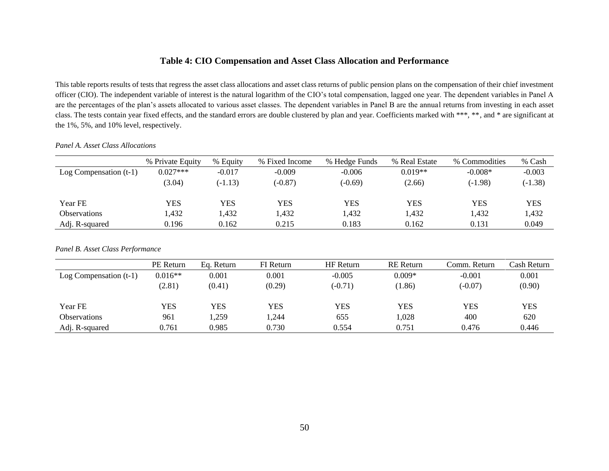## **Table 4: CIO Compensation and Asset Class Allocation and Performance**

This table reports results of tests that regress the asset class allocations and asset class returns of public pension plans on the compensation of their chief investment officer (CIO). The independent variable of interest is the natural logarithm of the CIO's total compensation, lagged one year. The dependent variables in Panel A are the percentages of the plan's assets allocated to various asset classes. The dependent variables in Panel B are the annual returns from investing in each asset class. The tests contain year fixed effects, and the standard errors are double clustered by plan and year. Coefficients marked with \*\*\*, \*\*, and \* are significant at the 1%, 5%, and 10% level, respectively.

|                          | % Private Equity | % Equity  | % Fixed Income | % Hedge Funds | % Real Estate | % Commodities | % Cash     |
|--------------------------|------------------|-----------|----------------|---------------|---------------|---------------|------------|
| Log Compensation $(t-1)$ | $0.027***$       | $-0.017$  | $-0.009$       | $-0.006$      | $0.019**$     | $-0.008*$     | $-0.003$   |
|                          | (3.04)           | $(-1.13)$ | $(-0.87)$      | (-0.69)       | (2.66)        | $(-1.98)$     | $(-1.38)$  |
|                          |                  |           |                |               |               |               |            |
| Year FE                  | YES              | YES       | YES            | YES           | <b>YES</b>    | YES           | <b>YES</b> |
| <b>Observations</b>      | .432             | 1,432     | 1.432          | 1.432         | 1,432         | l,432         | 1,432      |
| Adj. R-squared           | 0.196            | 0.162     | 0.215          | 0.183         | 0.162         | 0.131         | 0.049      |

*Panel A. Asset Class Allocations*

*Panel B. Asset Class Performance*

|                          | PE Return | Eq. Return | <b>FI</b> Return | HF Return | <b>RE</b> Return | Comm. Return | Cash Return |
|--------------------------|-----------|------------|------------------|-----------|------------------|--------------|-------------|
| Log Compensation $(t-1)$ | $0.016**$ | 0.001      | 0.001            | $-0.005$  | $0.009*$         | $-0.001$     | 0.001       |
|                          | (2.81)    | (0.41)     | (0.29)           | $(-0.71)$ | (1.86)           | $(-0.07)$    | (0.90)      |
|                          |           |            |                  |           |                  |              |             |
| Year FE                  | YES       | YES        | YES              | YES       | YES              | YES          | YES         |
| Observations             | 961       | 1,259      | 1,244            | 655       | 1,028            | 400          | 620         |
| Adj. R-squared           | 0.761     | 0.985      | 0.730            | 0.554     | 0.751            | 0.476        | 0.446       |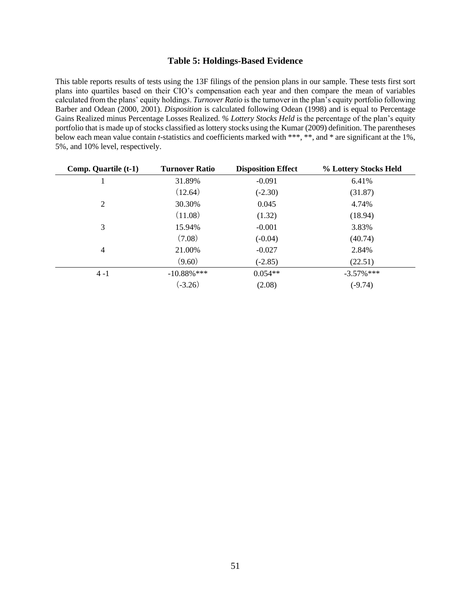#### **Table 5: Holdings-Based Evidence**

This table reports results of tests using the 13F filings of the pension plans in our sample. These tests first sort plans into quartiles based on their CIO's compensation each year and then compare the mean of variables calculated from the plans' equity holdings. *Turnover Ratio* is the turnover in the plan's equity portfolio following Barber and Odean (2000, 2001). *Disposition* is calculated following Odean (1998) and is equal to Percentage Gains Realized minus Percentage Losses Realized. *% Lottery Stocks Held* is the percentage of the plan's equity portfolio that is made up of stocks classified as lottery stocks using the Kumar (2009) definition. The parentheses below each mean value contain *t*-statistics and coefficients marked with \*\*\*, \*\*, and \* are significant at the 1%, 5%, and 10% level, respectively.

| Comp. Quartile (t-1) | <b>Turnover Ratio</b> | <b>Disposition Effect</b> | % Lottery Stocks Held |
|----------------------|-----------------------|---------------------------|-----------------------|
| 1                    | 31.89%                | $-0.091$                  | 6.41%                 |
|                      | (12.64)               | $(-2.30)$                 | (31.87)               |
| 2                    | 30.30%                | 0.045                     | 4.74%                 |
|                      | (11.08)               | (1.32)                    | (18.94)               |
| 3                    | 15.94%                | $-0.001$                  | 3.83%                 |
|                      | (7.08)                | $(-0.04)$                 | (40.74)               |
| $\overline{4}$       | 21.00%                | $-0.027$                  | 2.84%                 |
|                      | (9.60)                | $(-2.85)$                 | (22.51)               |
| $4 - 1$              | $-10.88\%$ ***        | $0.054**$                 | $-3.57\%$ ***         |
|                      | $(-3.26)$             | (2.08)                    | $(-9.74)$             |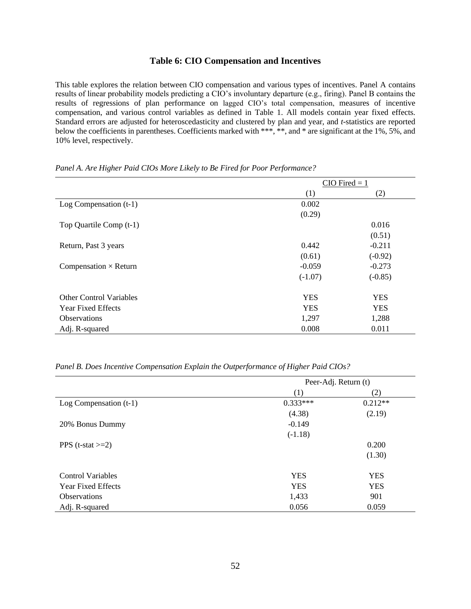#### **Table 6: CIO Compensation and Incentives**

This table explores the relation between CIO compensation and various types of incentives. Panel A contains results of linear probability models predicting a CIO's involuntary departure (e.g., firing). Panel B contains the results of regressions of plan performance on lagged CIO's total compensation, measures of incentive compensation, and various control variables as defined in Table 1. All models contain year fixed effects. Standard errors are adjusted for heteroscedasticity and clustered by plan and year, and *t*-statistics are reported below the coefficients in parentheses. Coefficients marked with \*\*\*, \*\*, and \* are significant at the 1%, 5%, and 10% level, respectively.

|                                | $CIO$ Fired = 1 |            |  |
|--------------------------------|-----------------|------------|--|
|                                | (1)             | (2)        |  |
| Log Compensation $(t-1)$       | 0.002           |            |  |
|                                | (0.29)          |            |  |
| Top Quartile Comp (t-1)        |                 | 0.016      |  |
|                                |                 | (0.51)     |  |
| Return, Past 3 years           | 0.442           | $-0.211$   |  |
|                                | (0.61)          | $(-0.92)$  |  |
| Compensation $\times$ Return   | $-0.059$        | $-0.273$   |  |
|                                | $(-1.07)$       | $(-0.85)$  |  |
| <b>Other Control Variables</b> | <b>YES</b>      | <b>YES</b> |  |
| <b>Year Fixed Effects</b>      | <b>YES</b>      | <b>YES</b> |  |
| <b>Observations</b>            | 1,297           | 1,288      |  |
| Adj. R-squared                 | 0.008           | 0.011      |  |

*Panel A. Are Higher Paid CIOs More Likely to Be Fired for Poor Performance?*

*Panel B. Does Incentive Compensation Explain the Outperformance of Higher Paid CIOs?*

|                           | Peer-Adj. Return (t) |            |  |
|---------------------------|----------------------|------------|--|
|                           | (1)                  | (2)        |  |
| Log Compensation $(t-1)$  | $0.333***$           | $0.212**$  |  |
|                           | (4.38)               | (2.19)     |  |
| 20% Bonus Dummy           | $-0.149$             |            |  |
|                           | $(-1.18)$            |            |  |
| PPS $(t-stat>=2)$         |                      | 0.200      |  |
|                           |                      | (1.30)     |  |
| <b>Control Variables</b>  | <b>YES</b>           | <b>YES</b> |  |
| <b>Year Fixed Effects</b> | <b>YES</b>           | <b>YES</b> |  |
| <b>Observations</b>       | 1,433                | 901        |  |
| Adj. R-squared            | 0.056                | 0.059      |  |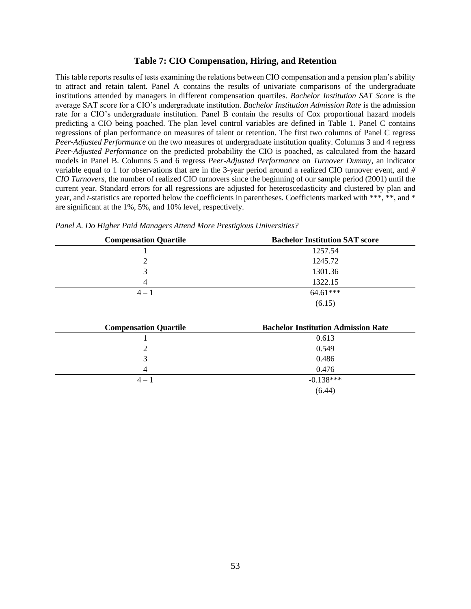#### **Table 7: CIO Compensation, Hiring, and Retention**

This table reports results of tests examining the relations between CIO compensation and a pension plan's ability to attract and retain talent. Panel A contains the results of univariate comparisons of the undergraduate institutions attended by managers in different compensation quartiles. *Bachelor Institution SAT Score* is the average SAT score for a CIO's undergraduate institution. *Bachelor Institution Admission Rate* is the admission rate for a CIO's undergraduate institution. Panel B contain the results of Cox proportional hazard models predicting a CIO being poached. The plan level control variables are defined in Table 1. Panel C contains regressions of plan performance on measures of talent or retention. The first two columns of Panel C regress *Peer-Adjusted Performance* on the two measures of undergraduate institution quality. Columns 3 and 4 regress *Peer-Adjusted Performance* on the predicted probability the CIO is poached, as calculated from the hazard models in Panel B. Columns 5 and 6 regress *Peer-Adjusted Performance* on *Turnover Dummy*, an indicator variable equal to 1 for observations that are in the 3-year period around a realized CIO turnover event, and *# CIO Turnovers*, the number of realized CIO turnovers since the beginning of our sample period (2001) until the current year. Standard errors for all regressions are adjusted for heteroscedasticity and clustered by plan and year, and *t*-statistics are reported below the coefficients in parentheses. Coefficients marked with \*\*\*, \*\*, and \* are significant at the 1%, 5%, and 10% level, respectively.

| <b>Compensation Quartile</b> | <b>Bachelor Institution SAT score</b>      |
|------------------------------|--------------------------------------------|
|                              | 1257.54                                    |
| 2                            | 1245.72                                    |
| 3                            | 1301.36                                    |
| 4                            | 1322.15                                    |
| $4 - 1$                      | 64.61***                                   |
|                              | (6.15)                                     |
|                              |                                            |
| <b>Compensation Quartile</b> | <b>Bachelor Institution Admission Rate</b> |
|                              | 0.613                                      |
| 2                            | 0.549                                      |
| 3                            | 0.486                                      |
| 4                            | 0.476                                      |
| $4 - 1$                      | $-0.138***$                                |
|                              | (6.44)                                     |

| $\alpha$ . The same state $\alpha$ is the state of $\alpha$            | $\mathbf{D}$ . I.I. $\mathbf{F}$ . $\mathbf{H}$ |
|------------------------------------------------------------------------|-------------------------------------------------|
| Panel A. Do Higher Paid Managers Attend More Prestigious Universities? |                                                 |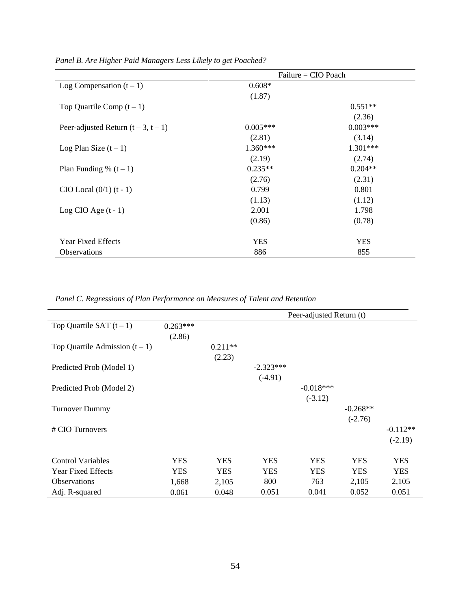|                                   |            | Failure = CIO Poach |
|-----------------------------------|------------|---------------------|
| Log Compensation $(t-1)$          | $0.608*$   |                     |
|                                   | (1.87)     |                     |
| Top Quartile Comp $(t-1)$         |            | $0.551**$           |
|                                   |            | (2.36)              |
| Peer-adjusted Return $(t-3, t-1)$ | $0.005***$ | $0.003***$          |
|                                   | (2.81)     | (3.14)              |
| Log Plan Size $(t-1)$             | $1.360***$ | $1.301***$          |
|                                   | (2.19)     | (2.74)              |
| Plan Funding % $(t-1)$            | $0.235**$  | $0.204**$           |
|                                   | (2.76)     | (2.31)              |
| $CIO$ Local $(0/1)$ $(t - 1)$     | 0.799      | 0.801               |
|                                   | (1.13)     | (1.12)              |
| Log CIO Age $(t - 1)$             | 2.001      | 1.798               |
|                                   | (0.86)     | (0.78)              |
| <b>Year Fixed Effects</b>         | <b>YES</b> | <b>YES</b>          |
| Observations                      | 886        | 855                 |
|                                   |            |                     |

*Panel B. Are Higher Paid Managers Less Likely to get Poached?* 

*Panel C. Regressions of Plan Performance on Measures of Talent and Retention*

|                                |            |            | Peer-adjusted Return (t) |             |            |            |  |
|--------------------------------|------------|------------|--------------------------|-------------|------------|------------|--|
| Top Quartile SAT $(t-1)$       | $0.263***$ |            |                          |             |            |            |  |
|                                | (2.86)     |            |                          |             |            |            |  |
| Top Quartile Admission $(t-1)$ |            | $0.211**$  |                          |             |            |            |  |
|                                |            | (2.23)     |                          |             |            |            |  |
| Predicted Prob (Model 1)       |            |            | $-2.323***$              |             |            |            |  |
|                                |            |            | $(-4.91)$                |             |            |            |  |
| Predicted Prob (Model 2)       |            |            |                          | $-0.018***$ |            |            |  |
|                                |            |            |                          | $(-3.12)$   |            |            |  |
| <b>Turnover Dummy</b>          |            |            |                          |             | $-0.268**$ |            |  |
|                                |            |            |                          |             | $(-2.76)$  |            |  |
| # CIO Turnovers                |            |            |                          |             |            | $-0.112**$ |  |
|                                |            |            |                          |             |            | $(-2.19)$  |  |
| <b>Control Variables</b>       | <b>YES</b> | <b>YES</b> | <b>YES</b>               | <b>YES</b>  | <b>YES</b> | <b>YES</b> |  |
| <b>Year Fixed Effects</b>      | <b>YES</b> | <b>YES</b> | <b>YES</b>               | <b>YES</b>  | <b>YES</b> | <b>YES</b> |  |
| <b>Observations</b>            | 1,668      | 2,105      | 800                      | 763         | 2,105      | 2,105      |  |
| Adj. R-squared                 | 0.061      | 0.048      | 0.051                    | 0.041       | 0.052      | 0.051      |  |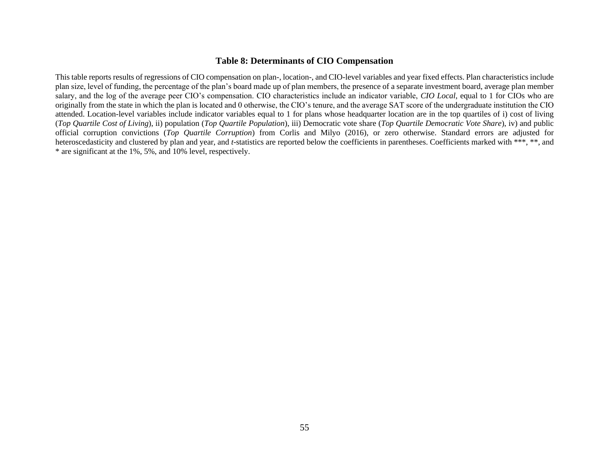### **Table 8: Determinants of CIO Compensation**

This table reports results of regressions of CIO compensation on plan-, location-, and CIO-level variables and year fixed effects. Plan characteristics include plan size, level of funding, the percentage of the plan's board made up of plan members, the presence of a separate investment board, average plan member salary, and the log of the average peer CIO's compensation. CIO characteristics include an indicator variable, *CIO Local*, equal to 1 for CIOs who are originally from the state in which the plan is located and 0 otherwise, the CIO's tenure, and the average SAT score of the undergraduate institution the CIO attended. Location-level variables include indicator variables equal to 1 for plans whose headquarter location are in the top quartiles of i) cost of living (*Top Quartile Cost of Living*), ii) population (*Top Quartile Population*), iii) Democratic vote share (*Top Quartile Democratic Vote Share*), iv) and public official corruption convictions (*Top Quartile Corruption*) from Corlis and Milyo (2016), or zero otherwise. Standard errors are adjusted for heteroscedasticity and clustered by plan and year, and *t*-statistics are reported below the coefficients in parentheses. Coefficients marked with \*\*\*, \*\*, and \* are significant at the 1%, 5%, and 10% level, respectively.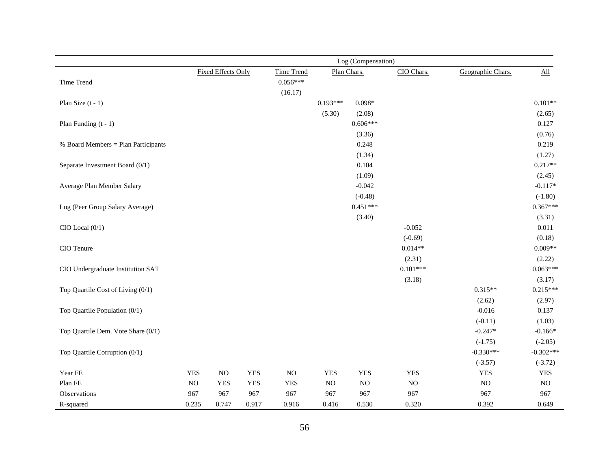|                                     | Log (Compensation) |                           |            |                   |            |             |            |                   |                            |
|-------------------------------------|--------------------|---------------------------|------------|-------------------|------------|-------------|------------|-------------------|----------------------------|
|                                     |                    | <b>Fixed Effects Only</b> |            | <b>Time Trend</b> |            | Plan Chars. | CIO Chars. | Geographic Chars. | $\underline{\mathrm{All}}$ |
| Time Trend                          |                    |                           |            | $0.056***$        |            |             |            |                   |                            |
|                                     |                    |                           |            | (16.17)           |            |             |            |                   |                            |
| Plan Size $(t - 1)$                 |                    |                           |            |                   | $0.193***$ | $0.098*$    |            |                   | $0.101**$                  |
|                                     |                    |                           |            |                   | (5.30)     | (2.08)      |            |                   | (2.65)                     |
| Plan Funding $(t - 1)$              |                    |                           |            |                   |            | $0.606***$  |            |                   | 0.127                      |
|                                     |                    |                           |            |                   |            | (3.36)      |            |                   | (0.76)                     |
| % Board Members = Plan Participants |                    |                           |            |                   |            | 0.248       |            |                   | 0.219                      |
|                                     |                    |                           |            |                   |            | (1.34)      |            |                   | (1.27)                     |
| Separate Investment Board (0/1)     |                    |                           |            |                   |            | 0.104       |            |                   | $0.217**$                  |
|                                     |                    |                           |            |                   |            | (1.09)      |            |                   | (2.45)                     |
| Average Plan Member Salary          |                    |                           |            |                   |            | $-0.042$    |            |                   | $-0.117*$                  |
|                                     |                    |                           |            |                   |            | $(-0.48)$   |            |                   | $(-1.80)$                  |
| Log (Peer Group Salary Average)     |                    |                           |            |                   |            | $0.451***$  |            |                   | $0.367***$                 |
|                                     |                    |                           |            |                   |            | (3.40)      |            |                   | (3.31)                     |
| $CIO$ Local $(0/1)$                 |                    |                           |            |                   |            |             | $-0.052$   |                   | 0.011                      |
|                                     |                    |                           |            |                   |            |             | $(-0.69)$  |                   | (0.18)                     |
| CIO Tenure                          |                    |                           |            |                   |            |             | $0.014**$  |                   | $0.009**$                  |
|                                     |                    |                           |            |                   |            |             | (2.31)     |                   | (2.22)                     |
| CIO Undergraduate Institution SAT   |                    |                           |            |                   |            |             | $0.101***$ |                   | $0.063***$                 |
|                                     |                    |                           |            |                   |            |             | (3.18)     |                   | (3.17)                     |
| Top Quartile Cost of Living (0/1)   |                    |                           |            |                   |            |             |            | $0.315**$         | $0.215***$                 |
|                                     |                    |                           |            |                   |            |             |            | (2.62)            | (2.97)                     |
| Top Quartile Population (0/1)       |                    |                           |            |                   |            |             |            | $-0.016$          | 0.137                      |
|                                     |                    |                           |            |                   |            |             |            | $(-0.11)$         | (1.03)                     |
| Top Quartile Dem. Vote Share (0/1)  |                    |                           |            |                   |            |             |            | $-0.247*$         | $-0.166*$                  |
|                                     |                    |                           |            |                   |            |             |            | $(-1.75)$         | $(-2.05)$                  |
| Top Quartile Corruption (0/1)       |                    |                           |            |                   |            |             |            | $-0.330***$       | $-0.302***$                |
|                                     |                    |                           |            |                   |            |             |            | $(-3.57)$         | $(-3.72)$                  |
| Year FE                             | <b>YES</b>         | $_{\rm NO}$               | <b>YES</b> | $\rm NO$          | <b>YES</b> | <b>YES</b>  | <b>YES</b> | <b>YES</b>        | <b>YES</b>                 |
| Plan FE                             | $_{\rm NO}$        | <b>YES</b>                | <b>YES</b> | <b>YES</b>        | NO         | $\rm NO$    | NO         | $\rm NO$          | $\rm NO$                   |
| Observations                        | 967                | 967                       | 967        | 967               | 967        | 967         | 967        | 967               | 967                        |
| R-squared                           | 0.235              | 0.747                     | 0.917      | 0.916             | 0.416      | 0.530       | 0.320      | 0.392             | 0.649                      |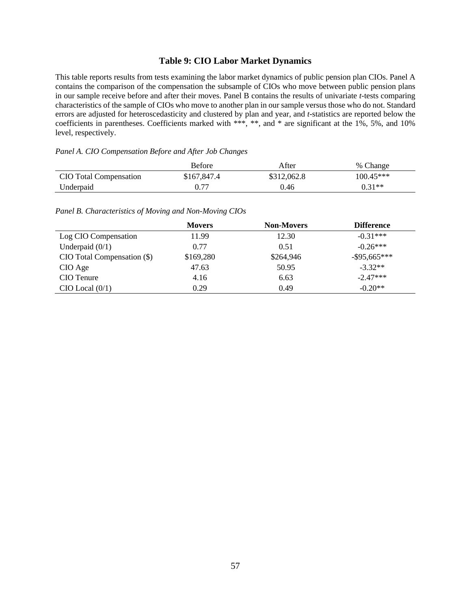### **Table 9: CIO Labor Market Dynamics**

This table reports results from tests examining the labor market dynamics of public pension plan CIOs. Panel A contains the comparison of the compensation the subsample of CIOs who move between public pension plans in our sample receive before and after their moves. Panel B contains the results of univariate *t*-tests comparing characteristics of the sample of CIOs who move to another plan in our sample versus those who do not. Standard errors are adjusted for heteroscedasticity and clustered by plan and year, and *t*-statistics are reported below the coefficients in parentheses. Coefficients marked with \*\*\*, \*\*, and \* are significant at the 1%, 5%, and 10% level, respectively.

#### *Panel A. CIO Compensation Before and After Job Changes*

|                        | <b>Before</b> | After       | % Change    |
|------------------------|---------------|-------------|-------------|
| CIO Total Compensation | \$167,847.4   | \$312,062.8 | $100.45***$ |
| Underpaid              | 0.77          | 0.46        | $0.31**$    |

#### *Panel B. Characteristics of Moving and Non-Moving CIOs*

|                             | <b>Movers</b> | <b>Non-Movers</b> | <b>Difference</b> |
|-----------------------------|---------------|-------------------|-------------------|
| Log CIO Compensation        | 11.99         | 12.30             | $-0.31***$        |
| Underpaid $(0/1)$           | 0.77          | 0.51              | $-0.26***$        |
| CIO Total Compensation (\$) | \$169,280     | \$264,946         | $-$ \$95,665***   |
| CIO Age                     | 47.63         | 50.95             | $-3.32**$         |
| CIO Tenure                  | 4.16          | 6.63              | $-2.47***$        |
| $CIO$ Local $(0/1)$         | 0.29          | 0.49              | $-0.20**$         |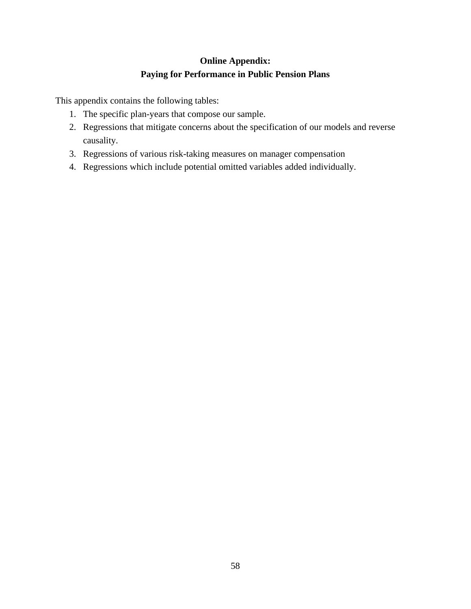# **Online Appendix: Paying for Performance in Public Pension Plans**

This appendix contains the following tables:

- 1. The specific plan-years that compose our sample.
- 2. Regressions that mitigate concerns about the specification of our models and reverse causality.
- 3. Regressions of various risk-taking measures on manager compensation
- 4. Regressions which include potential omitted variables added individually.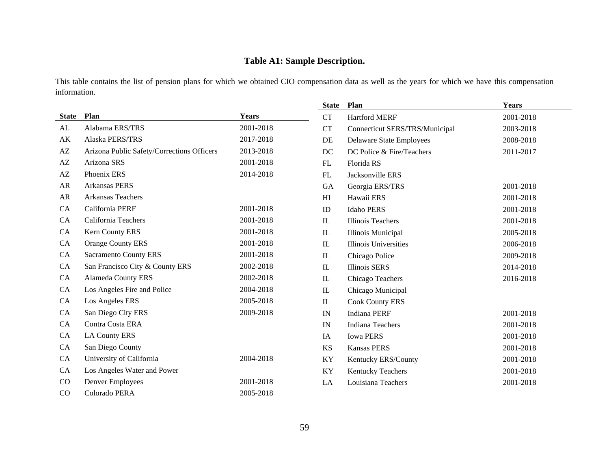# **Table A1: Sample Description.**

This table contains the list of pension plans for which we obtained CIO compensation data as well as the years for which we have this compensation information.

|                        |                                            |              | <b>State</b> | Plan                            | Years     |
|------------------------|--------------------------------------------|--------------|--------------|---------------------------------|-----------|
| <b>State</b>           | Plan                                       | <b>Years</b> | <b>CT</b>    | <b>Hartford MERF</b>            | 2001-2018 |
| AL                     | Alabama ERS/TRS                            | 2001-2018    | CT           | Connecticut SERS/TRS/Municipal  | 2003-2018 |
| AK                     | Alaska PERS/TRS                            | 2017-2018    | DE           | <b>Delaware State Employees</b> | 2008-2018 |
| AZ                     | Arizona Public Safety/Corrections Officers | 2013-2018    | DC           | DC Police & Fire/Teachers       | 2011-2017 |
| $\mathbf{A}\mathbf{Z}$ | Arizona SRS                                | 2001-2018    | FL           | Florida RS                      |           |
| AZ                     | Phoenix ERS                                | 2014-2018    | ${\rm FL}$   | Jacksonville ERS                |           |
| AR                     | <b>Arkansas PERS</b>                       |              | GA           | Georgia ERS/TRS                 | 2001-2018 |
| ${\sf AR}$             | Arkansas Teachers                          |              | H            | Hawaii ERS                      | 2001-2018 |
| CA                     | California PERF                            | 2001-2018    | ID           | <b>Idaho PERS</b>               | 2001-2018 |
| CA                     | California Teachers                        | 2001-2018    | IL           | <b>Illinois Teachers</b>        | 2001-2018 |
| <b>CA</b>              | Kern County ERS                            | 2001-2018    | $\mathbf{I}$ | Illinois Municipal              | 2005-2018 |
| CA                     | <b>Orange County ERS</b>                   | 2001-2018    | IL           | <b>Illinois Universities</b>    | 2006-2018 |
| CA                     | <b>Sacramento County ERS</b>               | 2001-2018    | IL           | Chicago Police                  | 2009-2018 |
| CA                     | San Francisco City & County ERS            | 2002-2018    | $\mathbf{I}$ | <b>Illinois SERS</b>            | 2014-2018 |
| <b>CA</b>              | <b>Alameda County ERS</b>                  | 2002-2018    | ${\rm IL}$   | Chicago Teachers                | 2016-2018 |
| <b>CA</b>              | Los Angeles Fire and Police                | 2004-2018    | $\mathbf{I}$ | Chicago Municipal               |           |
| CA                     | Los Angeles ERS                            | 2005-2018    | IL           | <b>Cook County ERS</b>          |           |
| CA                     | San Diego City ERS                         | 2009-2018    | IN           | <b>Indiana PERF</b>             | 2001-2018 |
| CA                     | Contra Costa ERA                           |              | IN           | <b>Indiana Teachers</b>         | 2001-2018 |
| <b>CA</b>              | <b>LA County ERS</b>                       |              | IA           | <b>Iowa PERS</b>                | 2001-2018 |
| CA                     | San Diego County                           |              | <b>KS</b>    | <b>Kansas PERS</b>              | 2001-2018 |
| CA                     | University of California                   | 2004-2018    | KY           | Kentucky ERS/County             | 2001-2018 |
| CA                     | Los Angeles Water and Power                |              | KY           | <b>Kentucky Teachers</b>        | 2001-2018 |
| $\rm CO$               | Denver Employees                           | 2001-2018    | LA           | Louisiana Teachers              | 2001-2018 |
| CO                     | Colorado PERA                              | 2005-2018    |              |                                 |           |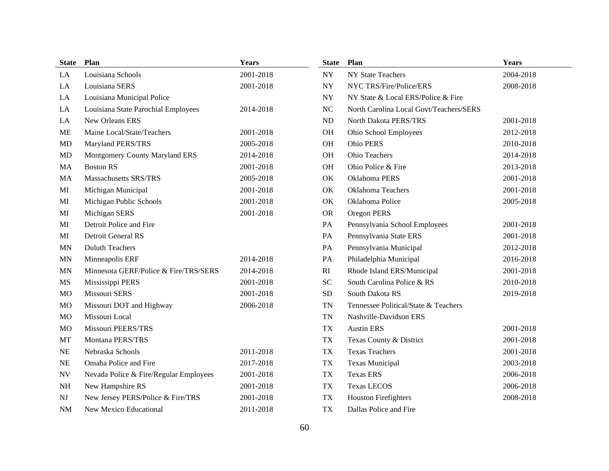| State                    | Plan                                   | <b>Years</b> | <b>State</b>             | Plan                                    | Years     |
|--------------------------|----------------------------------------|--------------|--------------------------|-----------------------------------------|-----------|
| LA                       | Louisiana Schools                      | 2001-2018    | ${\rm NY}$               | <b>NY State Teachers</b>                | 2004-2018 |
| LA                       | Louisiana SERS                         | 2001-2018    | ${\rm NY}$               | NYC TRS/Fire/Police/ERS                 | 2008-2018 |
| LA                       | Louisiana Municipal Police             |              | $\ensuremath{\text{NY}}$ | NY State & Local ERS/Police & Fire      |           |
| LA                       | Louisiana State Parochial Employees    | 2014-2018    | NC                       | North Carolina Local Govt/Teachers/SERS |           |
| LA                       | New Orleans ERS                        |              | ${\rm ND}$               | North Dakota PERS/TRS                   | 2001-2018 |
| <b>ME</b>                | Maine Local/State/Teachers             | 2001-2018    | OH                       | Ohio School Employees                   | 2012-2018 |
| <b>MD</b>                | Maryland PERS/TRS                      | 2005-2018    | OH                       | Ohio PERS                               | 2010-2018 |
| <b>MD</b>                | Montgomery County Maryland ERS         | 2014-2018    | OH                       | Ohio Teachers                           | 2014-2018 |
| MA                       | <b>Boston RS</b>                       | 2001-2018    | <b>OH</b>                | Ohio Police & Fire                      | 2013-2018 |
| MA                       | Massachusetts SRS/TRS                  | 2005-2018    | OK                       | Oklahoma PERS                           | 2001-2018 |
| MI                       | Michigan Municipal                     | 2001-2018    | OK                       | <b>Oklahoma Teachers</b>                | 2001-2018 |
| MI                       | Michigan Public Schools                | 2001-2018    | OK                       | Oklahoma Police                         | 2005-2018 |
| MI                       | Michigan SERS                          | 2001-2018    | <b>OR</b>                | Oregon PERS                             |           |
| MI                       | Detroit Police and Fire                |              | PA                       | Pennsylvania School Employees           | 2001-2018 |
| MI                       | Detroit General RS                     |              | PA                       | Pennsylvania State ERS                  | 2001-2018 |
| <b>MN</b>                | <b>Duluth Teachers</b>                 |              | PA                       | Pennsylvania Municipal                  | 2012-2018 |
| <b>MN</b>                | Minneapolis ERF                        | 2014-2018    | PA                       | Philadelphia Municipal                  | 2016-2018 |
| <b>MN</b>                | Minnesota GERF/Police & Fire/TRS/SERS  | 2014-2018    | RI                       | Rhode Island ERS/Municipal              | 2001-2018 |
| MS                       | Mississippi PERS                       | 2001-2018    | <b>SC</b>                | South Carolina Police & RS              | 2010-2018 |
| MO                       | Missouri SERS                          | 2001-2018    | <b>SD</b>                | South Dakota RS                         | 2019-2018 |
| <b>MO</b>                | Missouri DOT and Highway               | 2006-2018    | <b>TN</b>                | Tennessee Political/State & Teachers    |           |
| <b>MO</b>                | Missouri Local                         |              | TN                       | Nashville-Davidson ERS                  |           |
| M <sub>O</sub>           | <b>Missouri PEERS/TRS</b>              |              | TX                       | <b>Austin ERS</b>                       | 2001-2018 |
| MT                       | Montana PERS/TRS                       |              | TX                       | Texas County & District                 | 2001-2018 |
| $\rm NE$                 | Nebraska Schools                       | 2011-2018    | <b>TX</b>                | <b>Texas Teachers</b>                   | 2001-2018 |
| NE                       | Omaha Police and Fire                  | 2017-2018    | TX                       | <b>Texas Municipal</b>                  | 2003-2018 |
| $\ensuremath{\text{NV}}$ | Nevada Police & Fire/Regular Employees | 2001-2018    | TX                       | <b>Texas ERS</b>                        | 2006-2018 |
| NH                       | New Hampshire RS                       | 2001-2018    | <b>TX</b>                | <b>Texas LECOS</b>                      | 2006-2018 |
| NJ                       | New Jersey PERS/Police & Fire/TRS      | 2001-2018    | <b>TX</b>                | <b>Houston Firefighters</b>             | 2008-2018 |
| <b>NM</b>                | New Mexico Educational                 | 2011-2018    | <b>TX</b>                | Dallas Police and Fire                  |           |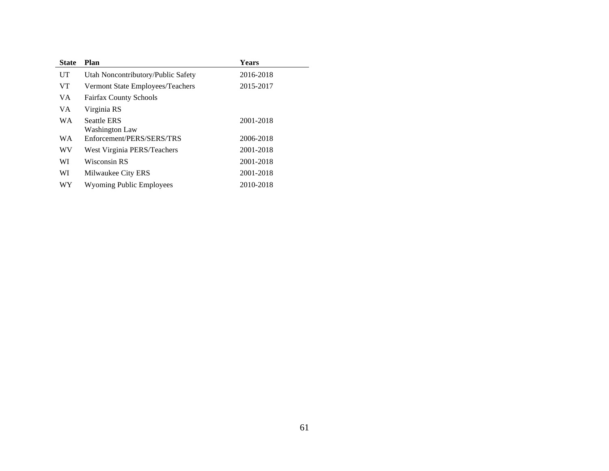| <b>State</b> | Plan                               | Years     |
|--------------|------------------------------------|-----------|
| UT           | Utah Noncontributory/Public Safety | 2016-2018 |
| VT.          | Vermont State Employees/Teachers   | 2015-2017 |
| VA.          | <b>Fairfax County Schools</b>      |           |
| VA.          | Virginia RS                        |           |
| <b>WA</b>    | <b>Seattle ERS</b>                 | 2001-2018 |
|              | Washington Law                     |           |
| <b>WA</b>    | Enforcement/PERS/SERS/TRS          | 2006-2018 |
| WV           | West Virginia PERS/Teachers        | 2001-2018 |
| WI           | Wisconsin RS                       | 2001-2018 |
| WI           | Milwaukee City ERS                 | 2001-2018 |
| WY           | <b>Wyoming Public Employees</b>    | 2010-2018 |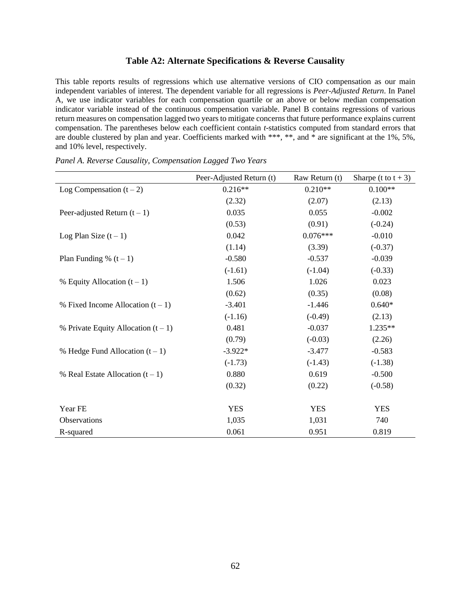#### **Table A2: Alternate Specifications & Reverse Causality**

This table reports results of regressions which use alternative versions of CIO compensation as our main independent variables of interest. The dependent variable for all regressions is *Peer-Adjusted Return*. In Panel A, we use indicator variables for each compensation quartile or an above or below median compensation indicator variable instead of the continuous compensation variable. Panel B contains regressions of various return measures on compensation lagged two years to mitigate concerns that future performance explains current compensation. The parentheses below each coefficient contain *t*-statistics computed from standard errors that are double clustered by plan and year. Coefficients marked with \*\*\*, \*\*, and \* are significant at the 1%, 5%, and 10% level, respectively.

|                                       | Peer-Adjusted Return (t) | Raw Return (t) | Sharpe (t to $t + 3$ ) |
|---------------------------------------|--------------------------|----------------|------------------------|
| Log Compensation $(t-2)$              | $0.216**$                | $0.210**$      | $0.100**$              |
|                                       | (2.32)                   | (2.07)         | (2.13)                 |
| Peer-adjusted Return $(t - 1)$        | 0.035                    | 0.055          | $-0.002$               |
|                                       | (0.53)                   | (0.91)         | $(-0.24)$              |
| Log Plan Size $(t-1)$                 | 0.042                    | $0.076***$     | $-0.010$               |
|                                       | (1.14)                   | (3.39)         | $(-0.37)$              |
| Plan Funding % $(t-1)$                | $-0.580$                 | $-0.537$       | $-0.039$               |
|                                       | $(-1.61)$                | $(-1.04)$      | $(-0.33)$              |
| % Equity Allocation $(t-1)$           | 1.506                    | 1.026          | 0.023                  |
|                                       | (0.62)                   | (0.35)         | (0.08)                 |
| % Fixed Income Allocation $(t-1)$     | $-3.401$                 | $-1.446$       | $0.640*$               |
|                                       | $(-1.16)$                | $(-0.49)$      | (2.13)                 |
| % Private Equity Allocation $(t - 1)$ | 0.481                    | $-0.037$       | 1.235**                |
|                                       | (0.79)                   | $(-0.03)$      | (2.26)                 |
| % Hedge Fund Allocation $(t-1)$       | $-3.922*$                | $-3.477$       | $-0.583$               |
|                                       | $(-1.73)$                | $(-1.43)$      | $(-1.38)$              |
| % Real Estate Allocation $(t-1)$      | 0.880                    | 0.619          | $-0.500$               |
|                                       | (0.32)                   | (0.22)         | $(-0.58)$              |
|                                       |                          |                |                        |
| Year FE                               | <b>YES</b>               | <b>YES</b>     | <b>YES</b>             |
| Observations                          | 1,035                    | 1,031          | 740                    |
| R-squared                             | 0.061                    | 0.951          | 0.819                  |

*Panel A. Reverse Causality, Compensation Lagged Two Years*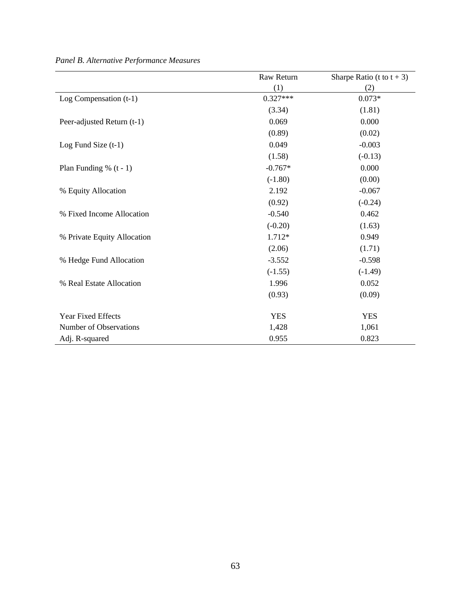|                             | Raw Return | Sharpe Ratio (t to $t + 3$ ) |
|-----------------------------|------------|------------------------------|
|                             | (1)        | (2)                          |
| Log Compensation $(t-1)$    | $0.327***$ | $0.073*$                     |
|                             | (3.34)     | (1.81)                       |
| Peer-adjusted Return (t-1)  | 0.069      | 0.000                        |
|                             | (0.89)     | (0.02)                       |
| Log Fund Size $(t-1)$       | 0.049      | $-0.003$                     |
|                             | (1.58)     | $(-0.13)$                    |
| Plan Funding % $(t - 1)$    | $-0.767*$  | 0.000                        |
|                             | $(-1.80)$  | (0.00)                       |
| % Equity Allocation         | 2.192      | $-0.067$                     |
|                             | (0.92)     | $(-0.24)$                    |
| % Fixed Income Allocation   | $-0.540$   | 0.462                        |
|                             | $(-0.20)$  | (1.63)                       |
| % Private Equity Allocation | 1.712*     | 0.949                        |
|                             | (2.06)     | (1.71)                       |
| % Hedge Fund Allocation     | $-3.552$   | $-0.598$                     |
|                             | $(-1.55)$  | $(-1.49)$                    |
| % Real Estate Allocation    | 1.996      | 0.052                        |
|                             | (0.93)     | (0.09)                       |
| <b>Year Fixed Effects</b>   | <b>YES</b> | <b>YES</b>                   |
| Number of Observations      | 1,428      | 1,061                        |
| Adj. R-squared              | 0.955      | 0.823                        |

*Panel B. Alternative Performance Measures*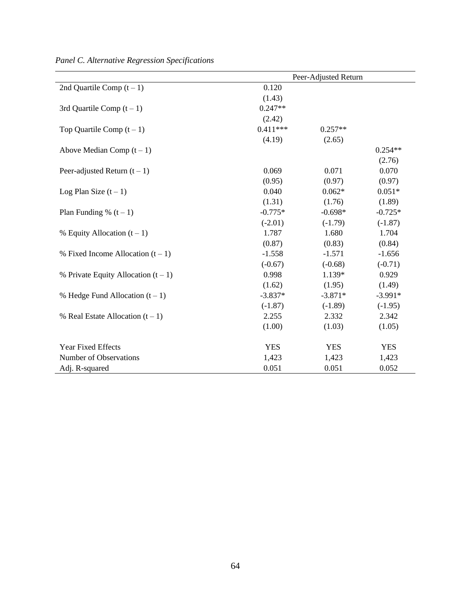|                                       | Peer-Adjusted Return |            |            |  |  |
|---------------------------------------|----------------------|------------|------------|--|--|
| 2nd Quartile Comp $(t-1)$             | 0.120                |            |            |  |  |
|                                       | (1.43)               |            |            |  |  |
| 3rd Quartile Comp $(t-1)$             | $0.247**$            |            |            |  |  |
|                                       | (2.42)               |            |            |  |  |
| Top Quartile Comp $(t-1)$             | $0.411***$           | $0.257**$  |            |  |  |
|                                       | (4.19)               | (2.65)     |            |  |  |
| Above Median Comp $(t-1)$             |                      |            | $0.254**$  |  |  |
|                                       |                      |            | (2.76)     |  |  |
| Peer-adjusted Return $(t - 1)$        | 0.069                | 0.071      | 0.070      |  |  |
|                                       | (0.95)               | (0.97)     | (0.97)     |  |  |
| Log Plan Size $(t-1)$                 | 0.040                | $0.062*$   | $0.051*$   |  |  |
|                                       | (1.31)               | (1.76)     | (1.89)     |  |  |
| Plan Funding % $(t-1)$                | $-0.775*$            | $-0.698*$  | $-0.725*$  |  |  |
|                                       | $(-2.01)$            | $(-1.79)$  | $(-1.87)$  |  |  |
| % Equity Allocation $(t-1)$           | 1.787                | 1.680      | 1.704      |  |  |
|                                       | (0.87)               | (0.83)     | (0.84)     |  |  |
| % Fixed Income Allocation $(t-1)$     | $-1.558$             | $-1.571$   | $-1.656$   |  |  |
|                                       | $(-0.67)$            | $(-0.68)$  | $(-0.71)$  |  |  |
| % Private Equity Allocation $(t - 1)$ | 0.998                | 1.139*     | 0.929      |  |  |
|                                       | (1.62)               | (1.95)     | (1.49)     |  |  |
| % Hedge Fund Allocation $(t-1)$       | $-3.837*$            | $-3.871*$  | $-3.991*$  |  |  |
|                                       | $(-1.87)$            | $(-1.89)$  | $(-1.95)$  |  |  |
| % Real Estate Allocation $(t-1)$      | 2.255                | 2.332      | 2.342      |  |  |
|                                       | (1.00)               | (1.03)     | (1.05)     |  |  |
| Year Fixed Effects                    | <b>YES</b>           | <b>YES</b> | <b>YES</b> |  |  |
| Number of Observations                | 1,423                | 1,423      | 1,423      |  |  |
| Adj. R-squared                        | 0.051                | 0.051      | 0.052      |  |  |

*Panel C. Alternative Regression Specifications*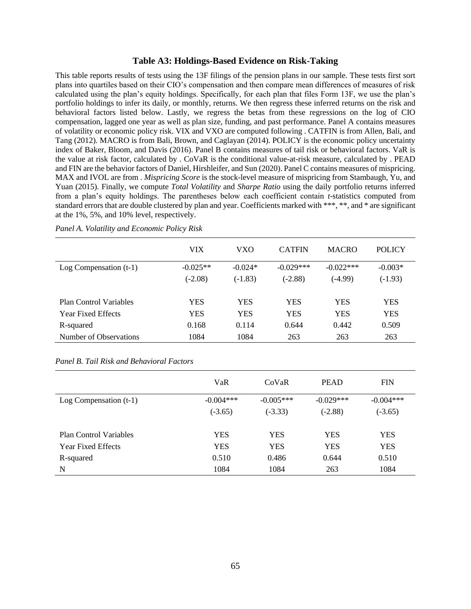#### **Table A3: Holdings-Based Evidence on Risk-Taking**

This table reports results of tests using the 13F filings of the pension plans in our sample. These tests first sort plans into quartiles based on their CIO's compensation and then compare mean differences of measures of risk calculated using the plan's equity holdings. Specifically, for each plan that files Form 13F, we use the plan's portfolio holdings to infer its daily, or monthly, returns. We then regress these inferred returns on the risk and behavioral factors listed below. Lastly, we regress the betas from these regressions on the log of CIO compensation, lagged one year as well as plan size, funding, and past performance. Panel A contains measures of volatility or economic policy risk. VIX and VXO are computed following . CATFIN is from Allen, Bali, and Tang (2012). MACRO is from Bali, Brown, and Caglayan (2014). POLICY is the economic policy uncertainty index of Baker, Bloom, and Davis (2016). Panel B contains measures of tail risk or behavioral factors. VaR is the value at risk factor, calculated by . CoVaR is the conditional value-at-risk measure, calculated by . PEAD and FIN are the behavior factors of Daniel, Hirshleifer, and Sun (2020). Panel C contains measures of mispricing. MAX and IVOL are from . *Mispricing Score* is the stock-level measure of mispricing from Stambaugh, Yu, and Yuan (2015). Finally, we compute *Total Volatility* and *Sharpe Ratio* using the daily portfolio returns inferred from a plan's equity holdings. The parentheses below each coefficient contain *t*-statistics computed from standard errors that are double clustered by plan and year. Coefficients marked with \*\*\*, \*\*, and \* are significant at the 1%, 5%, and 10% level, respectively.

|                               | VIX        | VXO        | <b>CATFIN</b> | <b>MACRO</b> | <b>POLICY</b> |
|-------------------------------|------------|------------|---------------|--------------|---------------|
| Log Compensation $(t-1)$      | $-0.025**$ | $-0.024*$  | $-0.029***$   | $-0.022***$  | $-0.003*$     |
|                               | $(-2.08)$  | $(-1.83)$  | $(-2.88)$     | $(-4.99)$    | $(-1.93)$     |
|                               |            |            |               |              |               |
| <b>Plan Control Variables</b> | <b>YES</b> | YES        | <b>YES</b>    | YES          | YES           |
| <b>Year Fixed Effects</b>     | <b>YES</b> | <b>YES</b> | <b>YES</b>    | <b>YES</b>   | <b>YES</b>    |
| R-squared                     | 0.168      | 0.114      | 0.644         | 0.442        | 0.509         |
| Number of Observations        | 1084       | 1084       | 263           | 263          | 263           |

*Panel A. Volatility and Economic Policy Risk*

*Panel B. Tail Risk and Behavioral Factors*

|                               | VaR         | CoVaR       | <b>PEAD</b> | <b>FIN</b>  |
|-------------------------------|-------------|-------------|-------------|-------------|
| Log Compensation $(t-1)$      | $-0.004***$ | $-0.005***$ | $-0.029***$ | $-0.004***$ |
|                               | $(-3.65)$   | $(-3.33)$   | $(-2.88)$   | $(-3.65)$   |
|                               |             |             |             |             |
| <b>Plan Control Variables</b> | <b>YES</b>  | YES         | YES         | <b>YES</b>  |
| <b>Year Fixed Effects</b>     | <b>YES</b>  | YES         | <b>YES</b>  | <b>YES</b>  |
| R-squared                     | 0.510       | 0.486       | 0.644       | 0.510       |
| N                             | 1084        | 1084        | 263         | 1084        |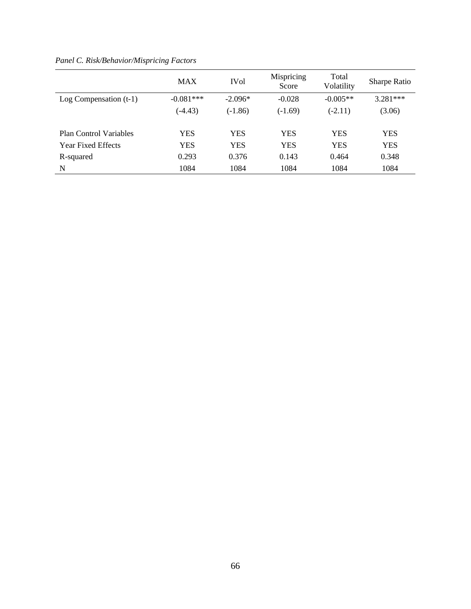|                               | <b>MAX</b>  | <b>IVol</b> | Mispricing<br>Score | Total<br>Volatility | <b>Sharpe Ratio</b> |
|-------------------------------|-------------|-------------|---------------------|---------------------|---------------------|
| Log Compensation $(t-1)$      | $-0.081***$ | $-2.096*$   | $-0.028$            | $-0.005**$          | $3.281***$          |
|                               | $(-4.43)$   | $(-1.86)$   | $(-1.69)$           | $(-2.11)$           | (3.06)              |
|                               |             |             |                     |                     |                     |
| <b>Plan Control Variables</b> | <b>YES</b>  | <b>YES</b>  | <b>YES</b>          | <b>YES</b>          | <b>YES</b>          |
| <b>Year Fixed Effects</b>     | <b>YES</b>  | <b>YES</b>  | <b>YES</b>          | <b>YES</b>          | <b>YES</b>          |
| R-squared                     | 0.293       | 0.376       | 0.143               | 0.464               | 0.348               |
| N                             | 1084        | 1084        | 1084                | 1084                | 1084                |

*Panel C. Risk/Behavior/Mispricing Factors*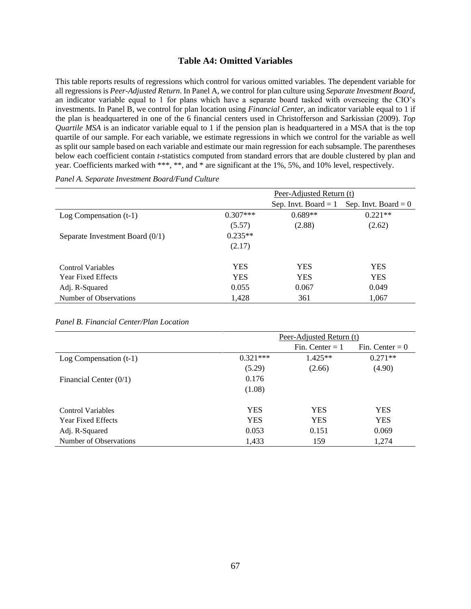#### **Table A4: Omitted Variables**

This table reports results of regressions which control for various omitted variables. The dependent variable for all regressions is *Peer-Adjusted Return*. In Panel A, we control for plan culture using *Separate Investment Board*, an indicator variable equal to 1 for plans which have a separate board tasked with overseeing the CIO's investments. In Panel B, we control for plan location using *Financial Center*, an indicator variable equal to 1 if the plan is headquartered in one of the 6 financial centers used in Christofferson and Sarkissian (2009). *Top Quartile MSA* is an indicator variable equal to 1 if the pension plan is headquartered in a MSA that is the top quartile of our sample. For each variable, we estimate regressions in which we control for the variable as well as split our sample based on each variable and estimate our main regression for each subsample. The parentheses below each coefficient contain *t*-statistics computed from standard errors that are double clustered by plan and year. Coefficients marked with \*\*\*, \*\*, and \* are significant at the 1%, 5%, and 10% level, respectively.

|                                   |            | Peer-Adjusted Return (t) |                        |  |
|-----------------------------------|------------|--------------------------|------------------------|--|
|                                   |            | Sep. Invt. Board $= 1$   | Sep. Invt. Board = $0$ |  |
| Log Compensation $(t-1)$          | $0.307***$ | $0.689**$                | $0.221**$              |  |
|                                   | (5.57)     | (2.88)                   | (2.62)                 |  |
| Separate Investment Board $(0/1)$ | $0.235**$  |                          |                        |  |
|                                   | (2.17)     |                          |                        |  |
| Control Variables                 | YES        | YES                      | <b>YES</b>             |  |
| <b>Year Fixed Effects</b>         | YES        | <b>YES</b>               | <b>YES</b>             |  |
| Adj. R-Squared                    | 0.055      | 0.067                    | 0.049                  |  |
| Number of Observations            | 1,428      | 361                      | 1,067                  |  |

*Panel A. Separate Investment Board/Fund Culture*

|                           |            | Peer-Adjusted Return (t) |                   |  |
|---------------------------|------------|--------------------------|-------------------|--|
|                           |            | Fin. Center $= 1$        | Fin. Center $= 0$ |  |
| Log Compensation $(t-1)$  | $0.321***$ | $1.425**$                | $0.271**$         |  |
|                           | (5.29)     | (2.66)                   | (4.90)            |  |
| Financial Center $(0/1)$  | 0.176      |                          |                   |  |
|                           | (1.08)     |                          |                   |  |
| <b>Control Variables</b>  | YES        | <b>YES</b>               | <b>YES</b>        |  |
| <b>Year Fixed Effects</b> | <b>YES</b> | <b>YES</b>               | <b>YES</b>        |  |
| Adj. R-Squared            | 0.053      | 0.151                    | 0.069             |  |
| Number of Observations    | 1.433      | 159                      | 1,274             |  |

#### *Panel B. Financial Center/Plan Location*